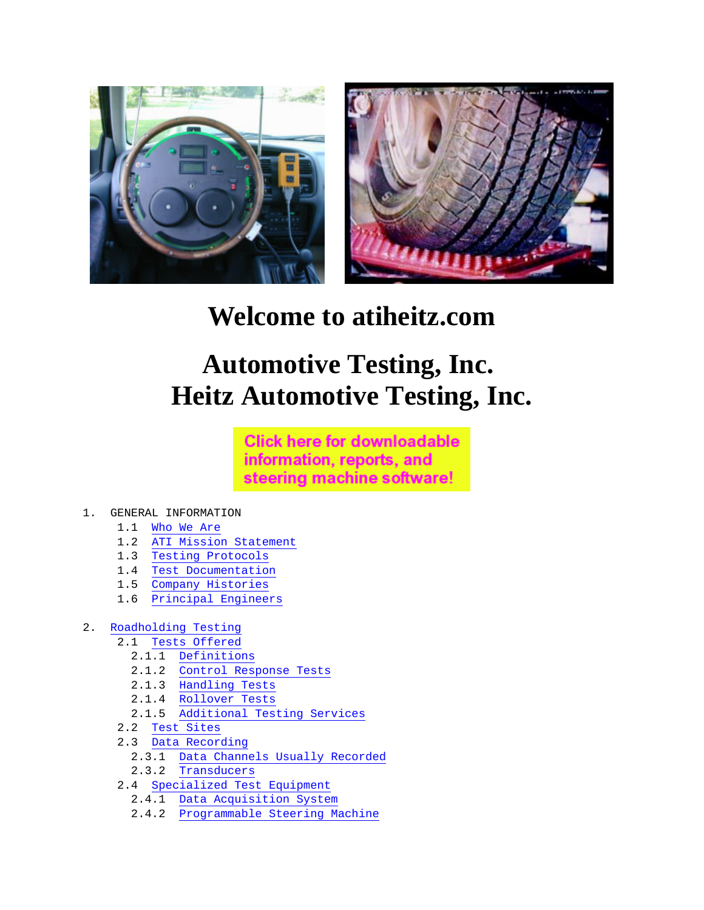



# **Welcome to atiheitz.com**

# **Automotive Testing, Inc. Heitz Automotive Testing, Inc.**

**Click here for downloadable** information, reports, and steering machine software!

- 1. GENERAL INFORMATION
	- 1.1 Who We Are
	- 1.2 ATI Mission Statement
	- 1.3 Testing Protocols
	- 1.4 Test Documentation
	- 1.5 Company Histories
	- 1.6 Principal Engineers

#### 2. Roadholding Testing

- 2.1 Tests Offered
	- 2.1.1 Definitions
	- 2.1.2 Control Response Tests
	- 2.1.3 Handling Tests
	- 2.1.4 Rollover Tests
	- 2.1.5 Additional Testing Services
- 2.2 Test Sites
- 2.3 Data Recording
	- 2.3.1 Data Channels Usually Recorded
	- 2.3.2 Transducers
- 2.4 Specialized Test Equipment
	- 2.4.1 Data Acquisition System
	- 2.4.2 Programmable Steering Machine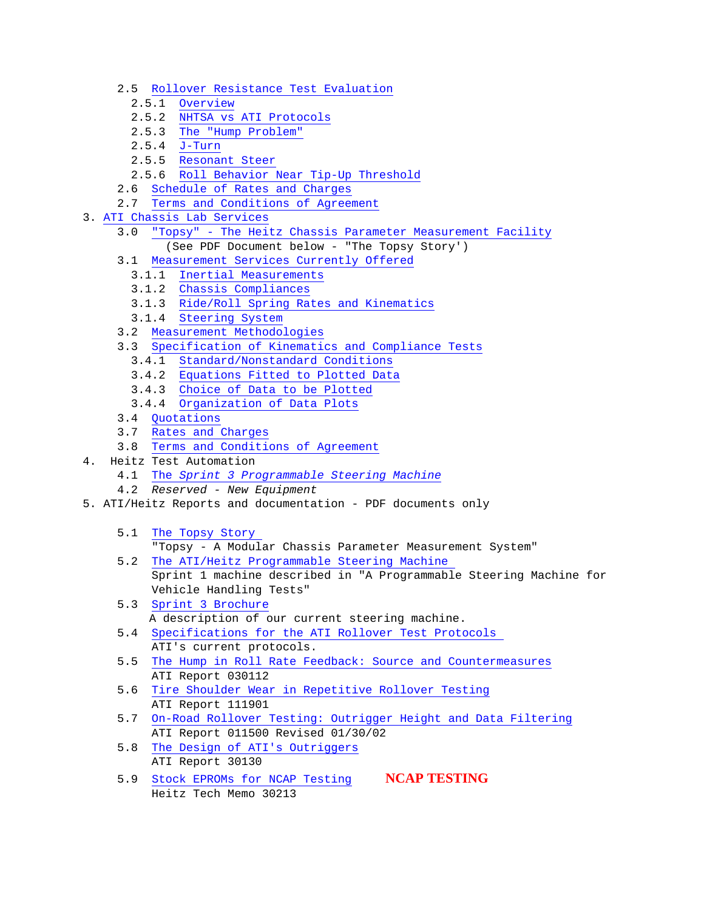- 2.5 Rollover Resistance Test Evaluation
	- 2.5.1 Overview
	- 2.5.2 NHTSA vs ATI Protocols
	- 2.5.3 The "Hump Problem"
	- 2.5.4 J-Turn
	- 2.5.5 Resonant Steer
	- 2.5.6 Roll Behavior Near Tip-Up Threshold
- 2.6 Schedule of Rates and Charges
- 2.7 Terms and Conditions of Agreement
- 3. ATI Chassis Lab Services
	- 3.0 "Topsy" The Heitz Chassis Parameter Measurement Facility (See PDF Document below - "The Topsy Story')
	- 3.1 Measurement Services Currently Offered
		- 3.1.1 Inertial Measurements
		- 3.1.2 Chassis Compliances
		- 3.1.3 Ride/Roll Spring Rates and Kinematics
		- 3.1.4 Steering System
	- 3.2 Measurement Methodologies
	- 3.3 Specification of Kinematics and Compliance Tests
		- 3.4.1 Standard/Nonstandard Conditions
		- 3.4.2 Equations Fitted to Plotted Data
		- 3.4.3 Choice of Data to be Plotted
		- 3.4.4 Organization of Data Plots
	- 3.4 Quotations
	- 3.7 Rates and Charges
	- 3.8 Terms and Conditions of Agreement
- 4. Heitz Test Automation
	- 4.1 The *Sprint 3 Programmable Steering Machine*
	- 4.2 *Reserved New Equipment*
- 5. ATI/Heitz Reports and documentation PDF documents only
	- 5.1 The Topsy Story
		- "Topsy A Modular Chassis Parameter Measurement System"
	- 5.2 The ATI/Heitz Programmable Steering Machine Sprint 1 machine described in "A Programmable Steering Machine for Vehicle Handling Tests"
	- 5.3 Sprint 3 Brochure A description of our current steering machine.
	- 5.4 Specifications for the ATI Rollover Test Protocols ATI's current protocols.
	- 5.5 The Hump in Roll Rate Feedback: Source and Countermeasures ATI Report 030112
	- 5.6 Tire Shoulder Wear in Repetitive Rollover Testing ATI Report 111901
	- 5.7 On-Road Rollover Testing: Outrigger Height and Data Filtering ATI Report 011500 Revised 01/30/02
	- 5.8 The Design of ATI's Outriggers ATI Report 30130
	- 5.9 Stock EPROMs for NCAP Testing **NCAP TESTING** Heitz Tech Memo 30213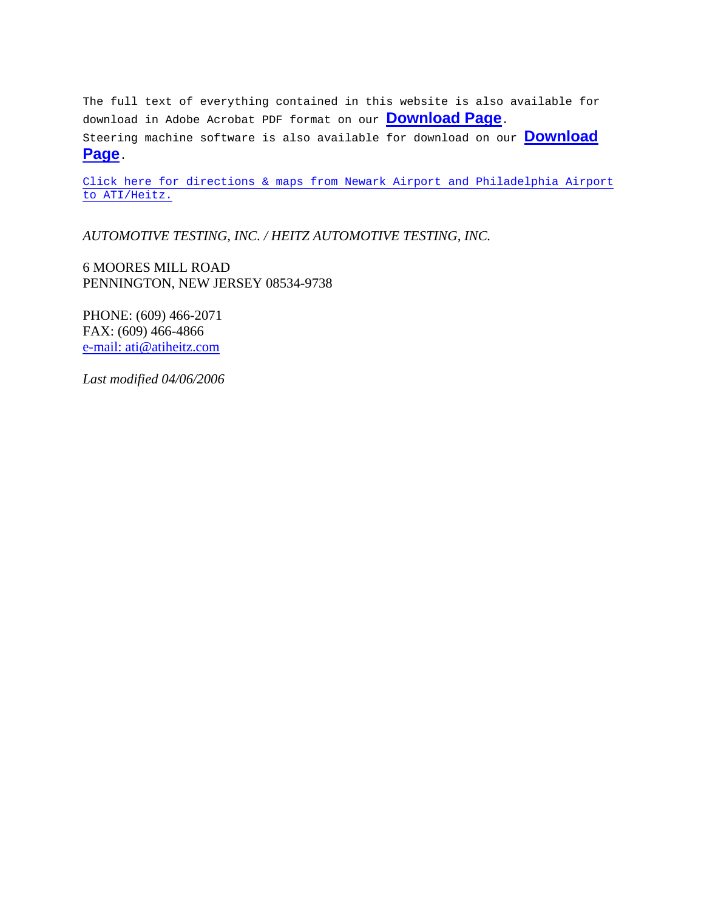The full text of everything contained in this website is also available for download in Adobe Acrobat PDF format on our **Download Page**. Steering machine software is also available for download on our **Download Page**.

Click here for directions & maps from Newark Airport and Philadelphia Airport to ATI/Heitz.

*AUTOMOTIVE TESTING, INC. / HEITZ AUTOMOTIVE TESTING, INC.* 

6 MOORES MILL ROAD PENNINGTON, NEW JERSEY 08534-9738

PHONE: (609) 466-2071 FAX: (609) 466-4866 e-mail: ati@atiheitz.com

*Last modified 04/06/2006*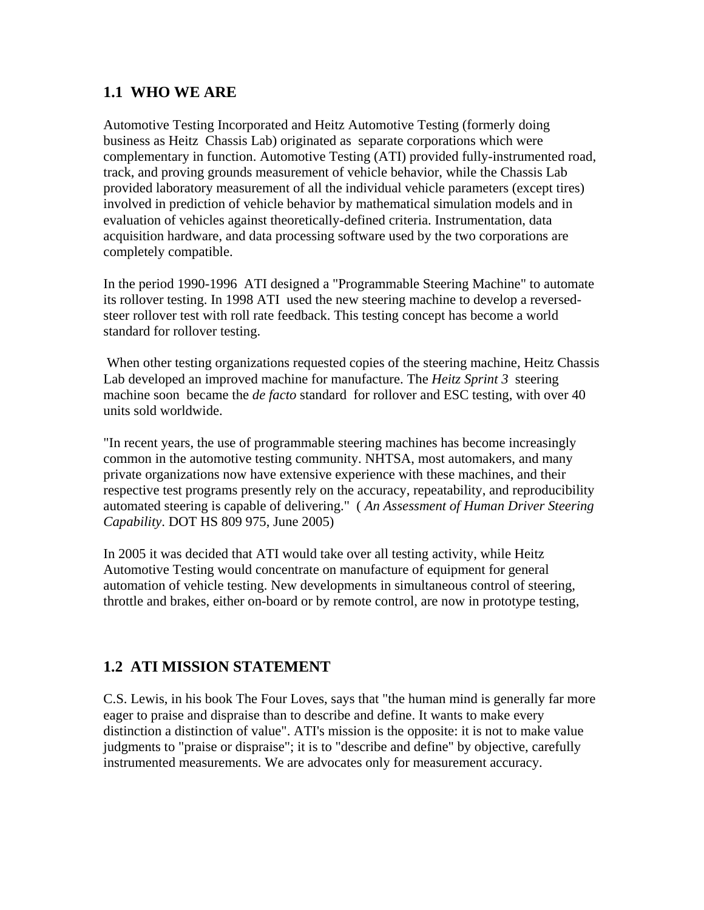## **1.1 WHO WE ARE**

Automotive Testing Incorporated and Heitz Automotive Testing (formerly doing business as Heitz Chassis Lab) originated as separate corporations which were complementary in function. Automotive Testing (ATI) provided fully-instrumented road, track, and proving grounds measurement of vehicle behavior, while the Chassis Lab provided laboratory measurement of all the individual vehicle parameters (except tires) involved in prediction of vehicle behavior by mathematical simulation models and in evaluation of vehicles against theoretically-defined criteria. Instrumentation, data acquisition hardware, and data processing software used by the two corporations are completely compatible.

In the period 1990-1996 ATI designed a "Programmable Steering Machine" to automate its rollover testing. In 1998 ATI used the new steering machine to develop a reversedsteer rollover test with roll rate feedback. This testing concept has become a world standard for rollover testing.

 When other testing organizations requested copies of the steering machine, Heitz Chassis Lab developed an improved machine for manufacture. The *Heitz Sprint 3* steering machine soon became the *de facto* standard for rollover and ESC testing, with over 40 units sold worldwide.

"In recent years, the use of programmable steering machines has become increasingly common in the automotive testing community. NHTSA, most automakers, and many private organizations now have extensive experience with these machines, and their respective test programs presently rely on the accuracy, repeatability, and reproducibility automated steering is capable of delivering." ( *An Assessment of Human Driver Steering Capability*. DOT HS 809 975, June 2005)

In 2005 it was decided that ATI would take over all testing activity, while Heitz Automotive Testing would concentrate on manufacture of equipment for general automation of vehicle testing. New developments in simultaneous control of steering, throttle and brakes, either on-board or by remote control, are now in prototype testing,

## **1.2 ATI MISSION STATEMENT**

C.S. Lewis, in his book The Four Loves, says that "the human mind is generally far more eager to praise and dispraise than to describe and define. It wants to make every distinction a distinction of value". ATI's mission is the opposite: it is not to make value judgments to "praise or dispraise"; it is to "describe and define" by objective, carefully instrumented measurements. We are advocates only for measurement accuracy.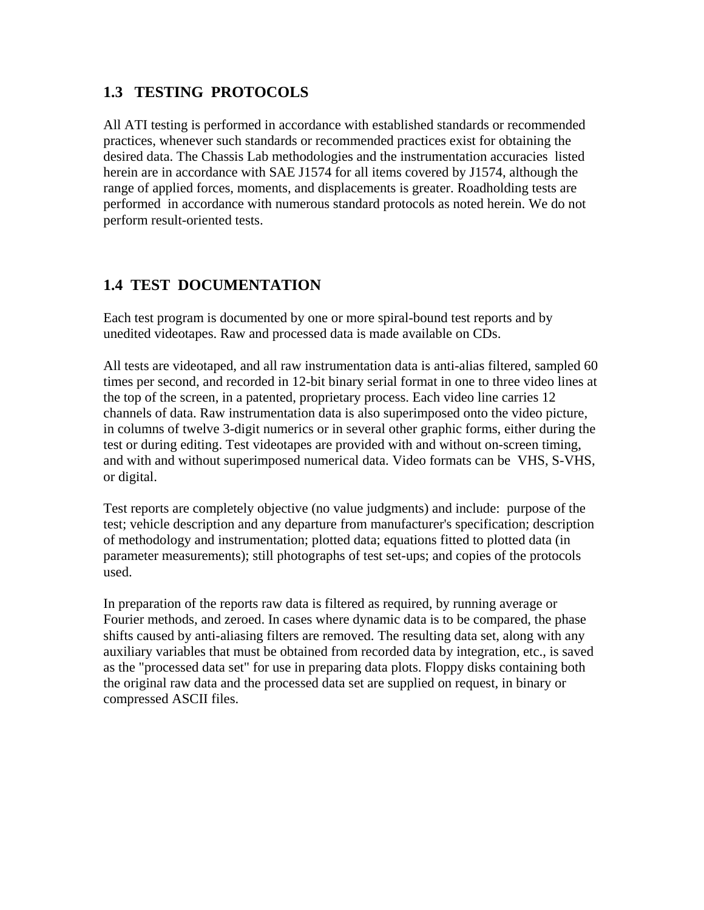## **1.3 TESTING PROTOCOLS**

All ATI testing is performed in accordance with established standards or recommended practices, whenever such standards or recommended practices exist for obtaining the desired data. The Chassis Lab methodologies and the instrumentation accuracies listed herein are in accordance with SAE J1574 for all items covered by J1574, although the range of applied forces, moments, and displacements is greater. Roadholding tests are performed in accordance with numerous standard protocols as noted herein. We do not perform result-oriented tests.

## **1.4 TEST DOCUMENTATION**

Each test program is documented by one or more spiral-bound test reports and by unedited videotapes. Raw and processed data is made available on CDs.

All tests are videotaped, and all raw instrumentation data is anti-alias filtered, sampled 60 times per second, and recorded in 12-bit binary serial format in one to three video lines at the top of the screen, in a patented, proprietary process. Each video line carries 12 channels of data. Raw instrumentation data is also superimposed onto the video picture, in columns of twelve 3-digit numerics or in several other graphic forms, either during the test or during editing. Test videotapes are provided with and without on-screen timing, and with and without superimposed numerical data. Video formats can be VHS, S-VHS, or digital.

Test reports are completely objective (no value judgments) and include: purpose of the test; vehicle description and any departure from manufacturer's specification; description of methodology and instrumentation; plotted data; equations fitted to plotted data (in parameter measurements); still photographs of test set-ups; and copies of the protocols used.

In preparation of the reports raw data is filtered as required, by running average or Fourier methods, and zeroed. In cases where dynamic data is to be compared, the phase shifts caused by anti-aliasing filters are removed. The resulting data set, along with any auxiliary variables that must be obtained from recorded data by integration, etc., is saved as the "processed data set" for use in preparing data plots. Floppy disks containing both the original raw data and the processed data set are supplied on request, in binary or compressed ASCII files.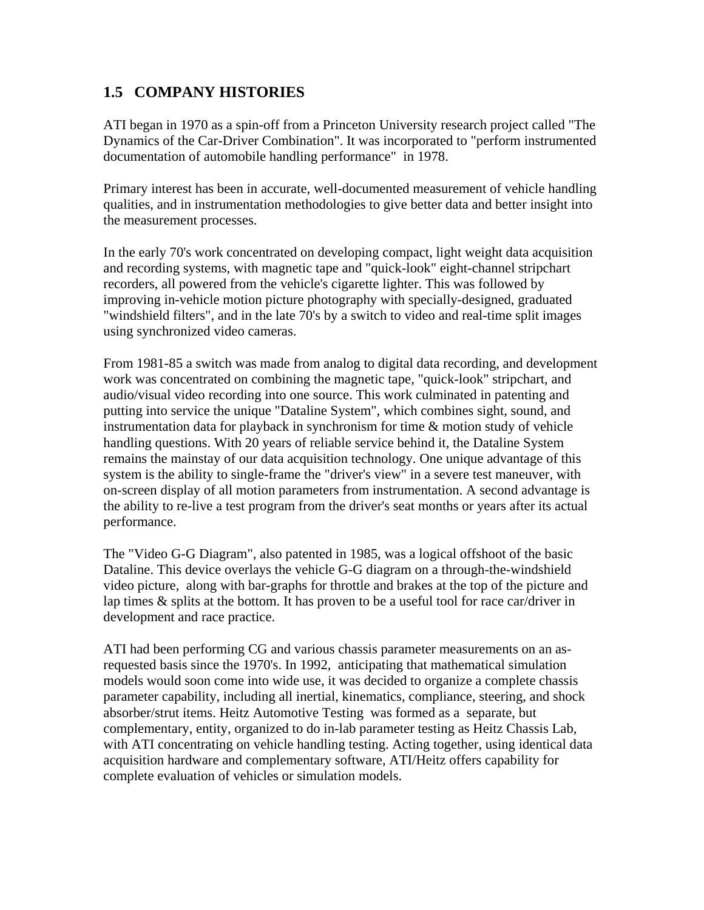## **1.5 COMPANY HISTORIES**

ATI began in 1970 as a spin-off from a Princeton University research project called "The Dynamics of the Car-Driver Combination". It was incorporated to "perform instrumented documentation of automobile handling performance" in 1978.

Primary interest has been in accurate, well-documented measurement of vehicle handling qualities, and in instrumentation methodologies to give better data and better insight into the measurement processes.

In the early 70's work concentrated on developing compact, light weight data acquisition and recording systems, with magnetic tape and "quick-look" eight-channel stripchart recorders, all powered from the vehicle's cigarette lighter. This was followed by improving in-vehicle motion picture photography with specially-designed, graduated "windshield filters", and in the late 70's by a switch to video and real-time split images using synchronized video cameras.

From 1981-85 a switch was made from analog to digital data recording, and development work was concentrated on combining the magnetic tape, "quick-look" stripchart, and audio/visual video recording into one source. This work culminated in patenting and putting into service the unique "Dataline System", which combines sight, sound, and instrumentation data for playback in synchronism for time  $\&$  motion study of vehicle handling questions. With 20 years of reliable service behind it, the Dataline System remains the mainstay of our data acquisition technology. One unique advantage of this system is the ability to single-frame the "driver's view" in a severe test maneuver, with on-screen display of all motion parameters from instrumentation. A second advantage is the ability to re-live a test program from the driver's seat months or years after its actual performance.

The "Video G-G Diagram", also patented in 1985, was a logical offshoot of the basic Dataline. This device overlays the vehicle G-G diagram on a through-the-windshield video picture, along with bar-graphs for throttle and brakes at the top of the picture and lap times & splits at the bottom. It has proven to be a useful tool for race car/driver in development and race practice.

ATI had been performing CG and various chassis parameter measurements on an asrequested basis since the 1970's. In 1992, anticipating that mathematical simulation models would soon come into wide use, it was decided to organize a complete chassis parameter capability, including all inertial, kinematics, compliance, steering, and shock absorber/strut items. Heitz Automotive Testing was formed as a separate, but complementary, entity, organized to do in-lab parameter testing as Heitz Chassis Lab, with ATI concentrating on vehicle handling testing. Acting together, using identical data acquisition hardware and complementary software, ATI/Heitz offers capability for complete evaluation of vehicles or simulation models.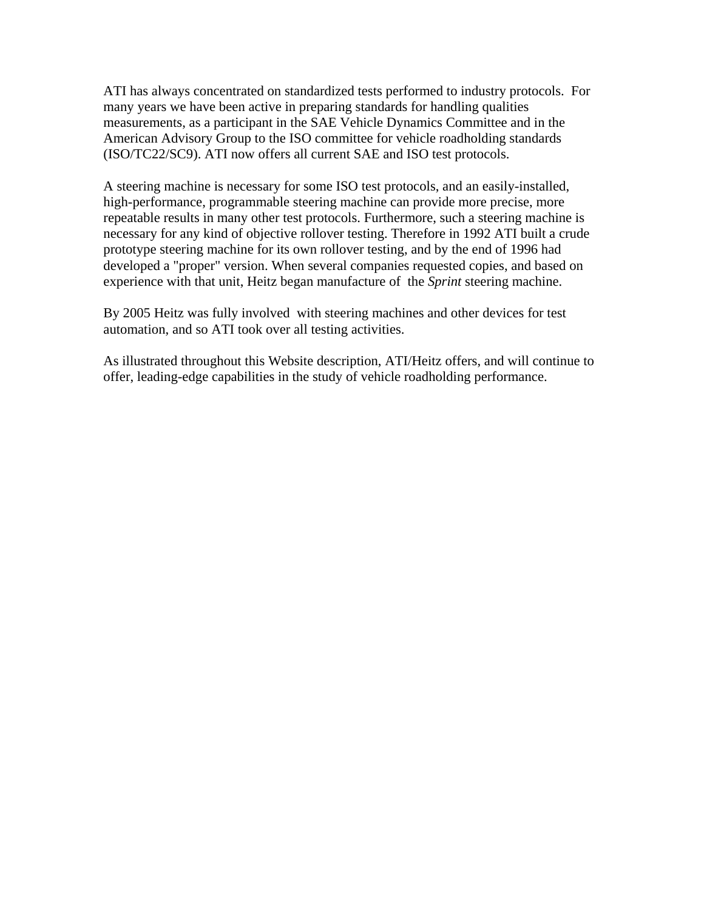ATI has always concentrated on standardized tests performed to industry protocols. For many years we have been active in preparing standards for handling qualities measurements, as a participant in the SAE Vehicle Dynamics Committee and in the American Advisory Group to the ISO committee for vehicle roadholding standards (ISO/TC22/SC9). ATI now offers all current SAE and ISO test protocols.

A steering machine is necessary for some ISO test protocols, and an easily-installed, high-performance, programmable steering machine can provide more precise, more repeatable results in many other test protocols. Furthermore, such a steering machine is necessary for any kind of objective rollover testing. Therefore in 1992 ATI built a crude prototype steering machine for its own rollover testing, and by the end of 1996 had developed a "proper" version. When several companies requested copies, and based on experience with that unit, Heitz began manufacture of the *Sprint* steering machine.

By 2005 Heitz was fully involved with steering machines and other devices for test automation, and so ATI took over all testing activities.

As illustrated throughout this Website description, ATI/Heitz offers, and will continue to offer, leading-edge capabilities in the study of vehicle roadholding performance.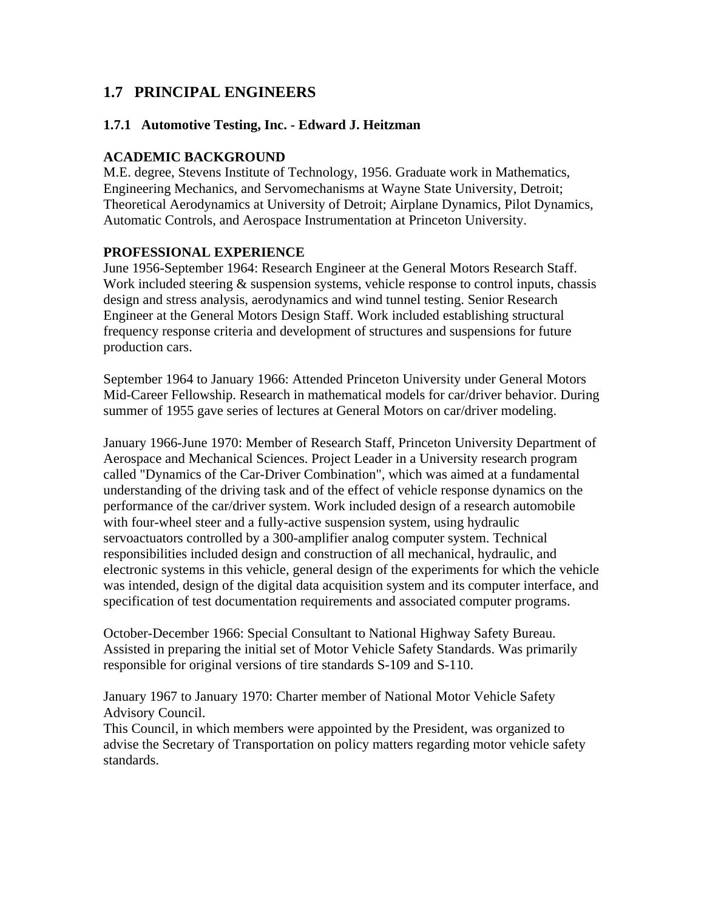## **1.7 PRINCIPAL ENGINEERS**

#### **1.7.1 Automotive Testing, Inc. - Edward J. Heitzman**

#### **ACADEMIC BACKGROUND**

M.E. degree, Stevens Institute of Technology, 1956. Graduate work in Mathematics, Engineering Mechanics, and Servomechanisms at Wayne State University, Detroit; Theoretical Aerodynamics at University of Detroit; Airplane Dynamics, Pilot Dynamics, Automatic Controls, and Aerospace Instrumentation at Princeton University.

#### **PROFESSIONAL EXPERIENCE**

June 1956-September 1964: Research Engineer at the General Motors Research Staff. Work included steering  $\&$  suspension systems, vehicle response to control inputs, chassis design and stress analysis, aerodynamics and wind tunnel testing. Senior Research Engineer at the General Motors Design Staff. Work included establishing structural frequency response criteria and development of structures and suspensions for future production cars.

September 1964 to January 1966: Attended Princeton University under General Motors Mid-Career Fellowship. Research in mathematical models for car/driver behavior. During summer of 1955 gave series of lectures at General Motors on car/driver modeling.

January 1966-June 1970: Member of Research Staff, Princeton University Department of Aerospace and Mechanical Sciences. Project Leader in a University research program called "Dynamics of the Car-Driver Combination", which was aimed at a fundamental understanding of the driving task and of the effect of vehicle response dynamics on the performance of the car/driver system. Work included design of a research automobile with four-wheel steer and a fully-active suspension system, using hydraulic servoactuators controlled by a 300-amplifier analog computer system. Technical responsibilities included design and construction of all mechanical, hydraulic, and electronic systems in this vehicle, general design of the experiments for which the vehicle was intended, design of the digital data acquisition system and its computer interface, and specification of test documentation requirements and associated computer programs.

October-December 1966: Special Consultant to National Highway Safety Bureau. Assisted in preparing the initial set of Motor Vehicle Safety Standards. Was primarily responsible for original versions of tire standards S-109 and S-110.

January 1967 to January 1970: Charter member of National Motor Vehicle Safety Advisory Council.

This Council, in which members were appointed by the President, was organized to advise the Secretary of Transportation on policy matters regarding motor vehicle safety standards.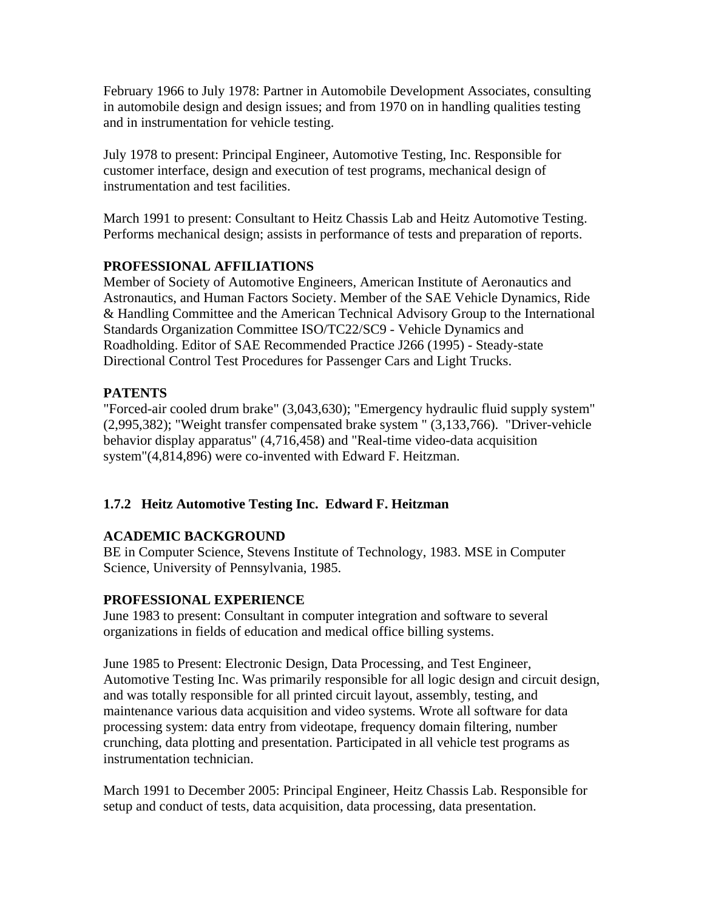February 1966 to July 1978: Partner in Automobile Development Associates, consulting in automobile design and design issues; and from 1970 on in handling qualities testing and in instrumentation for vehicle testing.

July 1978 to present: Principal Engineer, Automotive Testing, Inc. Responsible for customer interface, design and execution of test programs, mechanical design of instrumentation and test facilities.

March 1991 to present: Consultant to Heitz Chassis Lab and Heitz Automotive Testing. Performs mechanical design; assists in performance of tests and preparation of reports.

## **PROFESSIONAL AFFILIATIONS**

Member of Society of Automotive Engineers, American Institute of Aeronautics and Astronautics, and Human Factors Society. Member of the SAE Vehicle Dynamics, Ride & Handling Committee and the American Technical Advisory Group to the International Standards Organization Committee ISO/TC22/SC9 - Vehicle Dynamics and Roadholding. Editor of SAE Recommended Practice J266 (1995) - Steady-state Directional Control Test Procedures for Passenger Cars and Light Trucks.

#### **PATENTS**

"Forced-air cooled drum brake" (3,043,630); "Emergency hydraulic fluid supply system" (2,995,382); "Weight transfer compensated brake system " (3,133,766). "Driver-vehicle behavior display apparatus" (4,716,458) and "Real-time video-data acquisition system"(4,814,896) were co-invented with Edward F. Heitzman.

#### **1.7.2 Heitz Automotive Testing Inc. Edward F. Heitzman**

## **ACADEMIC BACKGROUND**

BE in Computer Science, Stevens Institute of Technology, 1983. MSE in Computer Science, University of Pennsylvania, 1985.

#### **PROFESSIONAL EXPERIENCE**

June 1983 to present: Consultant in computer integration and software to several organizations in fields of education and medical office billing systems.

June 1985 to Present: Electronic Design, Data Processing, and Test Engineer, Automotive Testing Inc. Was primarily responsible for all logic design and circuit design, and was totally responsible for all printed circuit layout, assembly, testing, and maintenance various data acquisition and video systems. Wrote all software for data processing system: data entry from videotape, frequency domain filtering, number crunching, data plotting and presentation. Participated in all vehicle test programs as instrumentation technician.

March 1991 to December 2005: Principal Engineer, Heitz Chassis Lab. Responsible for setup and conduct of tests, data acquisition, data processing, data presentation.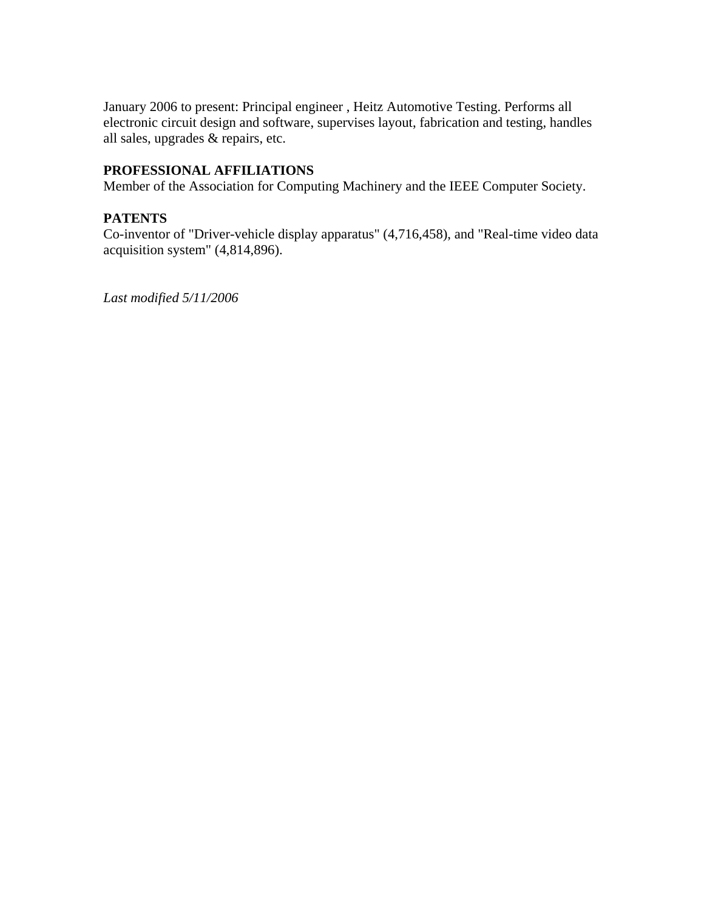January 2006 to present: Principal engineer , Heitz Automotive Testing. Performs all electronic circuit design and software, supervises layout, fabrication and testing, handles all sales, upgrades & repairs, etc.

#### **PROFESSIONAL AFFILIATIONS**

Member of the Association for Computing Machinery and the IEEE Computer Society.

#### **PATENTS**

Co-inventor of "Driver-vehicle display apparatus" (4,716,458), and "Real-time video data acquisition system" (4,814,896).

*Last modified 5/11/2006*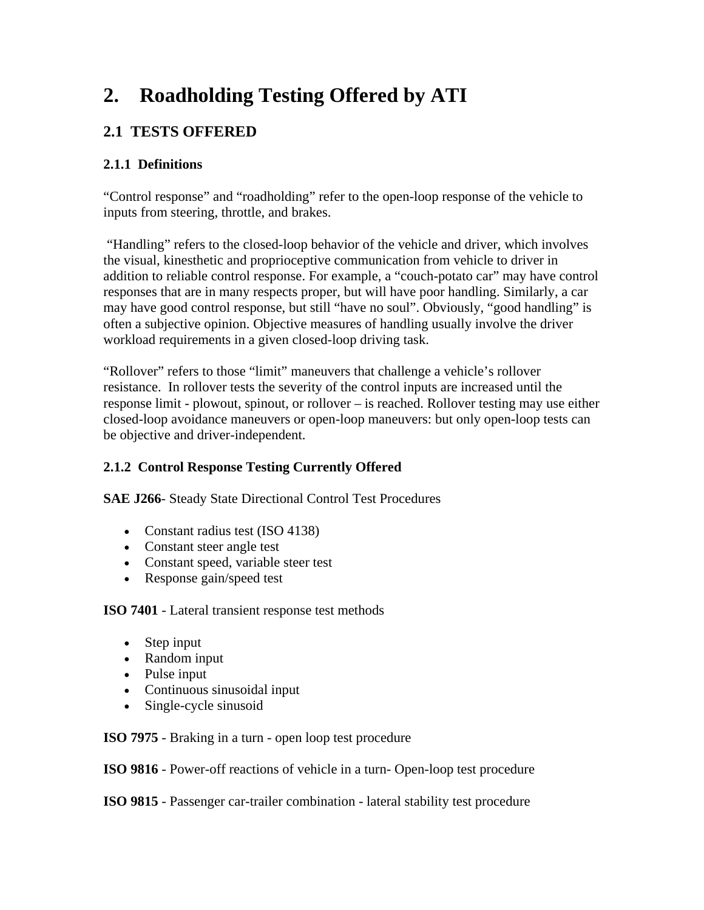## **2. Roadholding Testing Offered by ATI**

## **2.1 TESTS OFFERED**

## **2.1.1 Definitions**

"Control response" and "roadholding" refer to the open-loop response of the vehicle to inputs from steering, throttle, and brakes.

 "Handling" refers to the closed-loop behavior of the vehicle and driver, which involves the visual, kinesthetic and proprioceptive communication from vehicle to driver in addition to reliable control response. For example, a "couch-potato car" may have control responses that are in many respects proper, but will have poor handling. Similarly, a car may have good control response, but still "have no soul". Obviously, "good handling" is often a subjective opinion. Objective measures of handling usually involve the driver workload requirements in a given closed-loop driving task.

"Rollover" refers to those "limit" maneuvers that challenge a vehicle's rollover resistance. In rollover tests the severity of the control inputs are increased until the response limit - plowout, spinout, or rollover – is reached. Rollover testing may use either closed-loop avoidance maneuvers or open-loop maneuvers: but only open-loop tests can be objective and driver-independent.

## **2.1.2 Control Response Testing Currently Offered**

**SAE J266**- Steady State Directional Control Test Procedures

- Constant radius test (ISO 4138)
- Constant steer angle test
- Constant speed, variable steer test
- Response gain/speed test

**ISO 7401** - Lateral transient response test methods

- Step input
- Random input
- Pulse input
- Continuous sinusoidal input
- Single-cycle sinusoid

**ISO 7975** - Braking in a turn - open loop test procedure

**ISO 9816** - Power-off reactions of vehicle in a turn- Open-loop test procedure

**ISO 9815** - Passenger car-trailer combination - lateral stability test procedure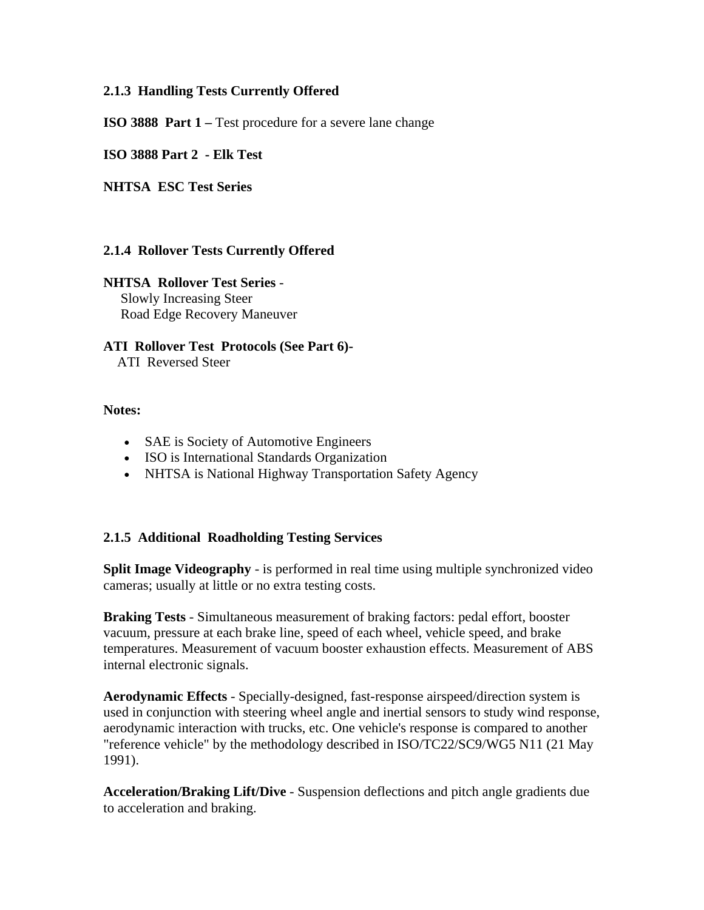#### **2.1.3 Handling Tests Currently Offered**

**ISO 3888 Part 1** – Test procedure for a severe lane change

**ISO 3888 Part 2 - Elk Test**

**NHTSA ESC Test Series**

#### **2.1.4 Rollover Tests Currently Offered**

**NHTSA Rollover Test Series** - Slowly Increasing Steer Road Edge Recovery Maneuver

**ATI Rollover Test Protocols (See Part 6)-** ATI Reversed Steer

#### **Notes:**

- SAE is Society of Automotive Engineers
- ISO is International Standards Organization
- NHTSA is National Highway Transportation Safety Agency

#### **2.1.5 Additional Roadholding Testing Services**

**Split Image Videography** - is performed in real time using multiple synchronized video cameras; usually at little or no extra testing costs.

**Braking Tests** - Simultaneous measurement of braking factors: pedal effort, booster vacuum, pressure at each brake line, speed of each wheel, vehicle speed, and brake temperatures. Measurement of vacuum booster exhaustion effects. Measurement of ABS internal electronic signals.

**Aerodynamic Effects** - Specially-designed, fast-response airspeed/direction system is used in conjunction with steering wheel angle and inertial sensors to study wind response, aerodynamic interaction with trucks, etc. One vehicle's response is compared to another "reference vehicle" by the methodology described in ISO/TC22/SC9/WG5 N11 (21 May 1991).

**Acceleration/Braking Lift/Dive** - Suspension deflections and pitch angle gradients due to acceleration and braking.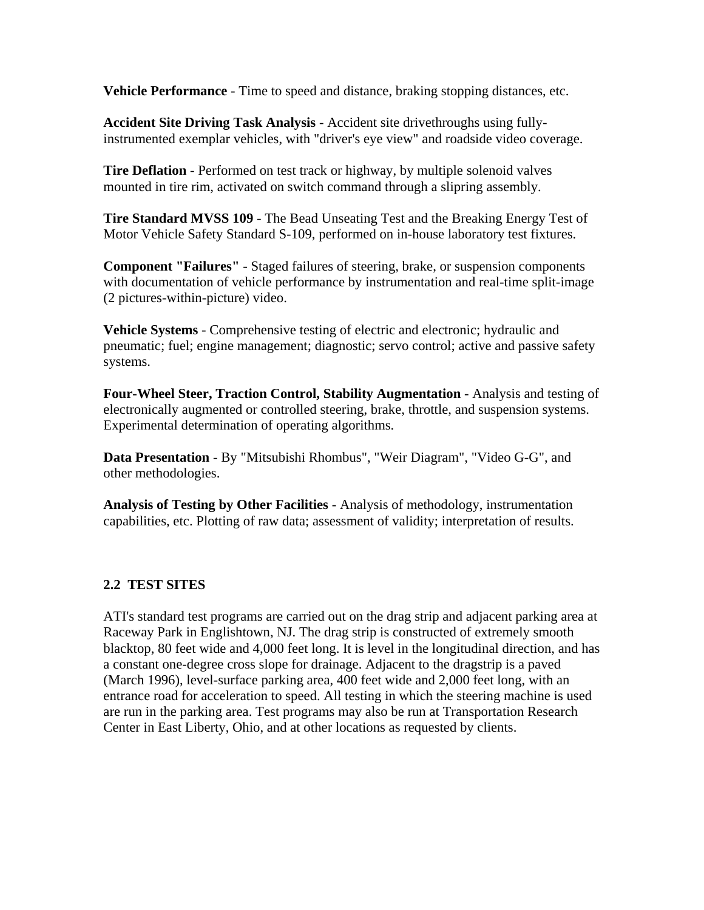**Vehicle Performance** - Time to speed and distance, braking stopping distances, etc.

**Accident Site Driving Task Analysis** - Accident site drivethroughs using fullyinstrumented exemplar vehicles, with "driver's eye view" and roadside video coverage.

**Tire Deflation** - Performed on test track or highway, by multiple solenoid valves mounted in tire rim, activated on switch command through a slipring assembly.

**Tire Standard MVSS 109** - The Bead Unseating Test and the Breaking Energy Test of Motor Vehicle Safety Standard S-109, performed on in-house laboratory test fixtures.

**Component "Failures"** - Staged failures of steering, brake, or suspension components with documentation of vehicle performance by instrumentation and real-time split-image (2 pictures-within-picture) video.

**Vehicle Systems** - Comprehensive testing of electric and electronic; hydraulic and pneumatic; fuel; engine management; diagnostic; servo control; active and passive safety systems.

**Four-Wheel Steer, Traction Control, Stability Augmentation** - Analysis and testing of electronically augmented or controlled steering, brake, throttle, and suspension systems. Experimental determination of operating algorithms.

**Data Presentation** - By "Mitsubishi Rhombus", "Weir Diagram", "Video G-G", and other methodologies.

**Analysis of Testing by Other Facilities** - Analysis of methodology, instrumentation capabilities, etc. Plotting of raw data; assessment of validity; interpretation of results.

#### **2.2 TEST SITES**

ATI's standard test programs are carried out on the drag strip and adjacent parking area at Raceway Park in Englishtown, NJ. The drag strip is constructed of extremely smooth blacktop, 80 feet wide and 4,000 feet long. It is level in the longitudinal direction, and has a constant one-degree cross slope for drainage. Adjacent to the dragstrip is a paved (March 1996), level-surface parking area, 400 feet wide and 2,000 feet long, with an entrance road for acceleration to speed. All testing in which the steering machine is used are run in the parking area. Test programs may also be run at Transportation Research Center in East Liberty, Ohio, and at other locations as requested by clients.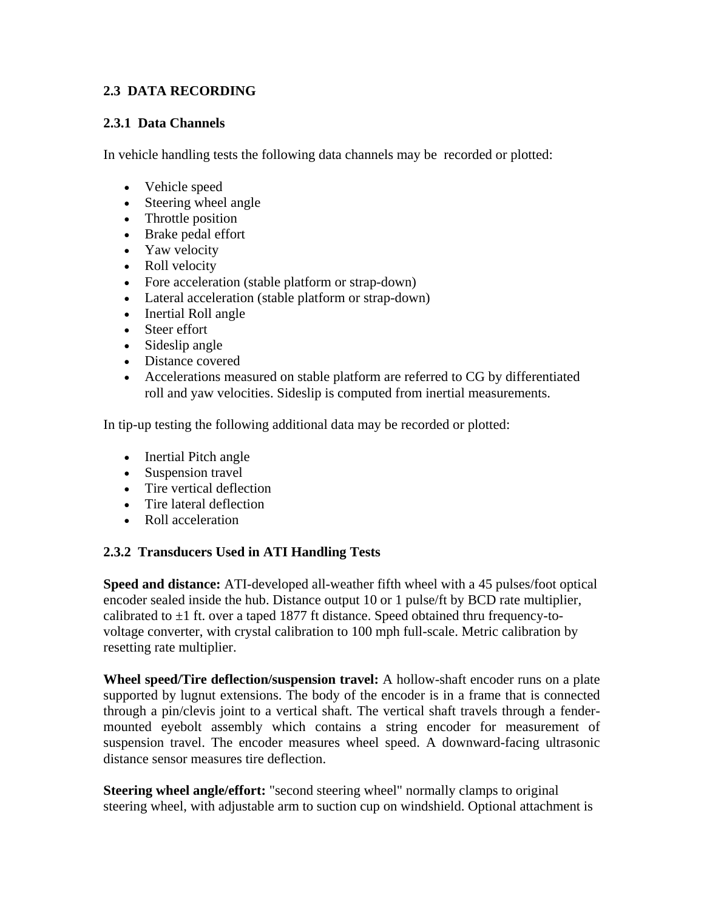#### **2.3 DATA RECORDING**

#### **2.3.1 Data Channels**

In vehicle handling tests the following data channels may be recorded or plotted:

- Vehicle speed
- Steering wheel angle
- Throttle position
- Brake pedal effort
- Yaw velocity
- Roll velocity
- Fore acceleration (stable platform or strap-down)
- Lateral acceleration (stable platform or strap-down)
- Inertial Roll angle
- Steer effort
- Sideslip angle
- Distance covered
- Accelerations measured on stable platform are referred to CG by differentiated roll and yaw velocities. Sideslip is computed from inertial measurements.

In tip-up testing the following additional data may be recorded or plotted:

- Inertial Pitch angle
- Suspension travel
- Tire vertical deflection
- Tire lateral deflection
- Roll acceleration

#### **2.3.2 Transducers Used in ATI Handling Tests**

**Speed and distance:** ATI-developed all-weather fifth wheel with a 45 pulses/foot optical encoder sealed inside the hub. Distance output 10 or 1 pulse/ft by BCD rate multiplier, calibrated to  $\pm 1$  ft. over a taped 1877 ft distance. Speed obtained thru frequency-tovoltage converter, with crystal calibration to 100 mph full-scale. Metric calibration by resetting rate multiplier.

**Wheel speed/Tire deflection/suspension travel:** A hollow-shaft encoder runs on a plate supported by lugnut extensions. The body of the encoder is in a frame that is connected through a pin/clevis joint to a vertical shaft. The vertical shaft travels through a fendermounted eyebolt assembly which contains a string encoder for measurement of suspension travel. The encoder measures wheel speed. A downward-facing ultrasonic distance sensor measures tire deflection.

**Steering wheel angle/effort:** "second steering wheel" normally clamps to original steering wheel, with adjustable arm to suction cup on windshield. Optional attachment is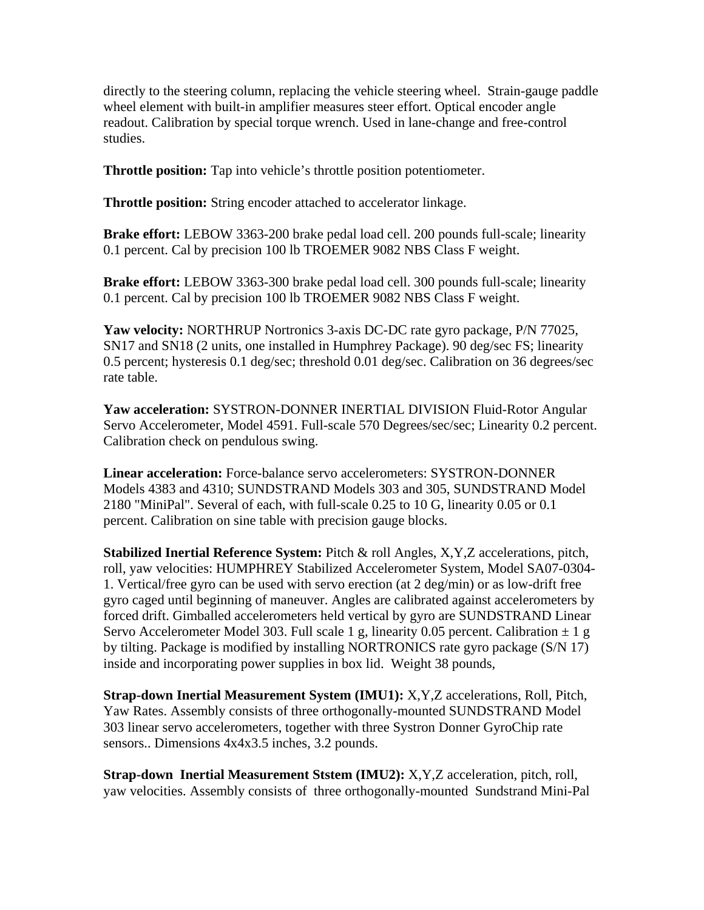directly to the steering column, replacing the vehicle steering wheel. Strain-gauge paddle wheel element with built-in amplifier measures steer effort. Optical encoder angle readout. Calibration by special torque wrench. Used in lane-change and free-control studies.

**Throttle position:** Tap into vehicle's throttle position potentiometer.

**Throttle position:** String encoder attached to accelerator linkage.

**Brake effort:** LEBOW 3363-200 brake pedal load cell. 200 pounds full-scale; linearity 0.1 percent. Cal by precision 100 lb TROEMER 9082 NBS Class F weight.

**Brake effort:** LEBOW 3363-300 brake pedal load cell. 300 pounds full-scale; linearity 0.1 percent. Cal by precision 100 lb TROEMER 9082 NBS Class F weight.

**Yaw velocity:** NORTHRUP Nortronics 3-axis DC-DC rate gyro package, P/N 77025, SN17 and SN18 (2 units, one installed in Humphrey Package). 90 deg/sec FS; linearity 0.5 percent; hysteresis 0.1 deg/sec; threshold 0.01 deg/sec. Calibration on 36 degrees/sec rate table.

**Yaw acceleration:** SYSTRON-DONNER INERTIAL DIVISION Fluid-Rotor Angular Servo Accelerometer, Model 4591. Full-scale 570 Degrees/sec/sec; Linearity 0.2 percent. Calibration check on pendulous swing.

**Linear acceleration:** Force-balance servo accelerometers: SYSTRON-DONNER Models 4383 and 4310; SUNDSTRAND Models 303 and 305, SUNDSTRAND Model 2180 "MiniPal". Several of each, with full-scale 0.25 to 10 G, linearity 0.05 or 0.1 percent. Calibration on sine table with precision gauge blocks.

**Stabilized Inertial Reference System:** Pitch & roll Angles, X,Y,Z accelerations, pitch, roll, yaw velocities: HUMPHREY Stabilized Accelerometer System, Model SA07-0304- 1. Vertical/free gyro can be used with servo erection (at 2 deg/min) or as low-drift free gyro caged until beginning of maneuver. Angles are calibrated against accelerometers by forced drift. Gimballed accelerometers held vertical by gyro are SUNDSTRAND Linear Servo Accelerometer Model 303. Full scale 1 g, linearity 0.05 percent. Calibration  $\pm$  1 g by tilting. Package is modified by installing NORTRONICS rate gyro package (S/N 17) inside and incorporating power supplies in box lid. Weight 38 pounds,

**Strap-down Inertial Measurement System (IMU1):** X,Y,Z accelerations, Roll, Pitch, Yaw Rates. Assembly consists of three orthogonally-mounted SUNDSTRAND Model 303 linear servo accelerometers, together with three Systron Donner GyroChip rate sensors.. Dimensions 4x4x3.5 inches, 3.2 pounds.

**Strap-down Inertial Measurement Ststem (IMU2):** X,Y,Z acceleration, pitch, roll, yaw velocities. Assembly consists of three orthogonally-mounted Sundstrand Mini-Pal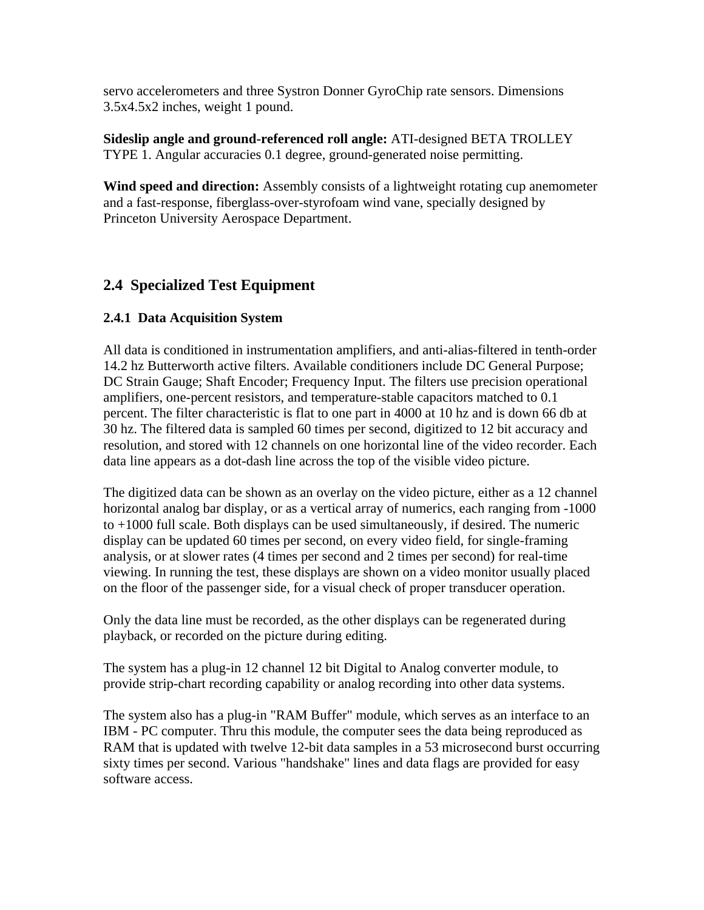servo accelerometers and three Systron Donner GyroChip rate sensors. Dimensions 3.5x4.5x2 inches, weight 1 pound.

**Sideslip angle and ground-referenced roll angle:** ATI-designed BETA TROLLEY TYPE 1. Angular accuracies 0.1 degree, ground-generated noise permitting.

**Wind speed and direction:** Assembly consists of a lightweight rotating cup anemometer and a fast-response, fiberglass-over-styrofoam wind vane, specially designed by Princeton University Aerospace Department.

## **2.4 Specialized Test Equipment**

#### **2.4.1 Data Acquisition System**

All data is conditioned in instrumentation amplifiers, and anti-alias-filtered in tenth-order 14.2 hz Butterworth active filters. Available conditioners include DC General Purpose; DC Strain Gauge; Shaft Encoder; Frequency Input. The filters use precision operational amplifiers, one-percent resistors, and temperature-stable capacitors matched to 0.1 percent. The filter characteristic is flat to one part in 4000 at 10 hz and is down 66 db at 30 hz. The filtered data is sampled 60 times per second, digitized to 12 bit accuracy and resolution, and stored with 12 channels on one horizontal line of the video recorder. Each data line appears as a dot-dash line across the top of the visible video picture.

The digitized data can be shown as an overlay on the video picture, either as a 12 channel horizontal analog bar display, or as a vertical array of numerics, each ranging from -1000 to +1000 full scale. Both displays can be used simultaneously, if desired. The numeric display can be updated 60 times per second, on every video field, for single-framing analysis, or at slower rates (4 times per second and 2 times per second) for real-time viewing. In running the test, these displays are shown on a video monitor usually placed on the floor of the passenger side, for a visual check of proper transducer operation.

Only the data line must be recorded, as the other displays can be regenerated during playback, or recorded on the picture during editing.

The system has a plug-in 12 channel 12 bit Digital to Analog converter module, to provide strip-chart recording capability or analog recording into other data systems.

The system also has a plug-in "RAM Buffer" module, which serves as an interface to an IBM - PC computer. Thru this module, the computer sees the data being reproduced as RAM that is updated with twelve 12-bit data samples in a 53 microsecond burst occurring sixty times per second. Various "handshake" lines and data flags are provided for easy software access.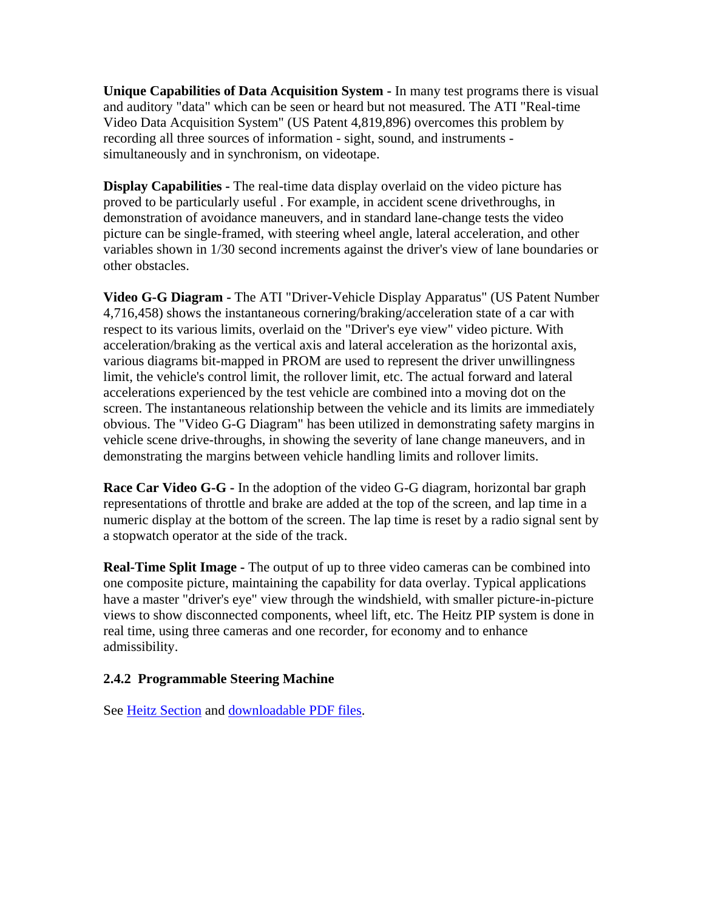**Unique Capabilities of Data Acquisition System -** In many test programs there is visual and auditory "data" which can be seen or heard but not measured. The ATI "Real-time Video Data Acquisition System" (US Patent 4,819,896) overcomes this problem by recording all three sources of information - sight, sound, and instruments simultaneously and in synchronism, on videotape.

**Display Capabilities -** The real-time data display overlaid on the video picture has proved to be particularly useful . For example, in accident scene drivethroughs, in demonstration of avoidance maneuvers, and in standard lane-change tests the video picture can be single-framed, with steering wheel angle, lateral acceleration, and other variables shown in 1/30 second increments against the driver's view of lane boundaries or other obstacles.

**Video G-G Diagram -** The ATI "Driver-Vehicle Display Apparatus" (US Patent Number 4,716,458) shows the instantaneous cornering/braking/acceleration state of a car with respect to its various limits, overlaid on the "Driver's eye view" video picture. With acceleration/braking as the vertical axis and lateral acceleration as the horizontal axis, various diagrams bit-mapped in PROM are used to represent the driver unwillingness limit, the vehicle's control limit, the rollover limit, etc. The actual forward and lateral accelerations experienced by the test vehicle are combined into a moving dot on the screen. The instantaneous relationship between the vehicle and its limits are immediately obvious. The "Video G-G Diagram" has been utilized in demonstrating safety margins in vehicle scene drive-throughs, in showing the severity of lane change maneuvers, and in demonstrating the margins between vehicle handling limits and rollover limits.

**Race Car Video G-G -** In the adoption of the video G-G diagram, horizontal bar graph representations of throttle and brake are added at the top of the screen, and lap time in a numeric display at the bottom of the screen. The lap time is reset by a radio signal sent by a stopwatch operator at the side of the track.

**Real-Time Split Image -** The output of up to three video cameras can be combined into one composite picture, maintaining the capability for data overlay. Typical applications have a master "driver's eye" view through the windshield, with smaller picture-in-picture views to show disconnected components, wheel lift, etc. The Heitz PIP system is done in real time, using three cameras and one recorder, for economy and to enhance admissibility.

#### **2.4.2 Programmable Steering Machine**

See Heitz Section and downloadable PDF files.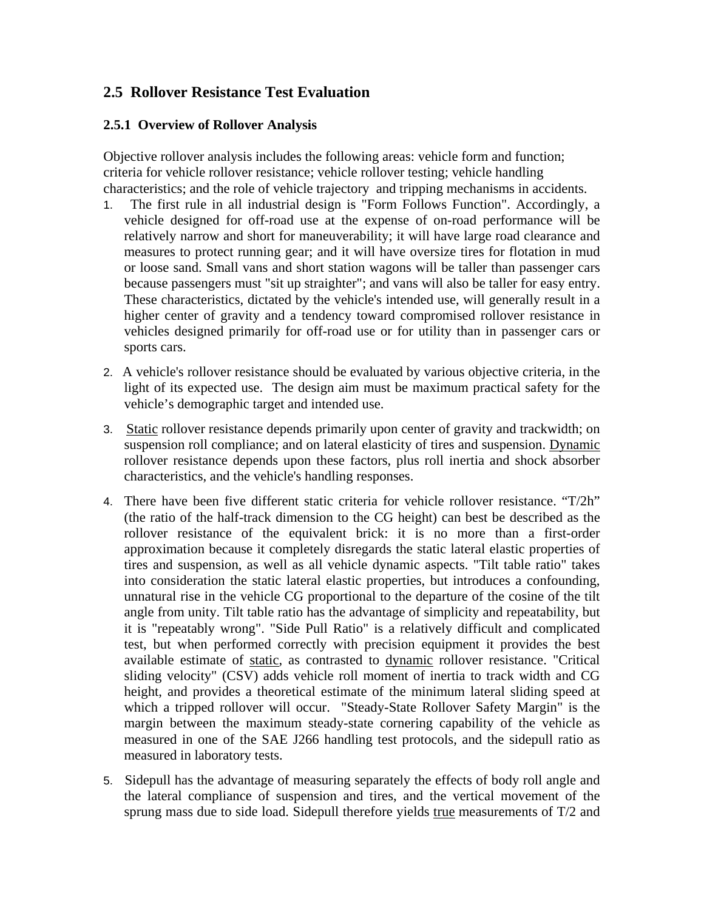## **2.5 Rollover Resistance Test Evaluation**

#### **2.5.1 Overview of Rollover Analysis**

Objective rollover analysis includes the following areas: vehicle form and function; criteria for vehicle rollover resistance; vehicle rollover testing; vehicle handling characteristics; and the role of vehicle trajectory and tripping mechanisms in accidents.

- 1. The first rule in all industrial design is "Form Follows Function". Accordingly, a vehicle designed for off-road use at the expense of on-road performance will be relatively narrow and short for maneuverability; it will have large road clearance and measures to protect running gear; and it will have oversize tires for flotation in mud or loose sand. Small vans and short station wagons will be taller than passenger cars because passengers must "sit up straighter"; and vans will also be taller for easy entry. These characteristics, dictated by the vehicle's intended use, will generally result in a higher center of gravity and a tendency toward compromised rollover resistance in vehicles designed primarily for off-road use or for utility than in passenger cars or sports cars.
- 2. A vehicle's rollover resistance should be evaluated by various objective criteria, in the light of its expected use. The design aim must be maximum practical safety for the vehicle's demographic target and intended use.
- 3. Static rollover resistance depends primarily upon center of gravity and trackwidth; on suspension roll compliance; and on lateral elasticity of tires and suspension. Dynamic rollover resistance depends upon these factors, plus roll inertia and shock absorber characteristics, and the vehicle's handling responses.
- 4. There have been five different static criteria for vehicle rollover resistance. "T/2h" (the ratio of the half-track dimension to the CG height) can best be described as the rollover resistance of the equivalent brick: it is no more than a first-order approximation because it completely disregards the static lateral elastic properties of tires and suspension, as well as all vehicle dynamic aspects. "Tilt table ratio" takes into consideration the static lateral elastic properties, but introduces a confounding, unnatural rise in the vehicle CG proportional to the departure of the cosine of the tilt angle from unity. Tilt table ratio has the advantage of simplicity and repeatability, but it is "repeatably wrong". "Side Pull Ratio" is a relatively difficult and complicated test, but when performed correctly with precision equipment it provides the best available estimate of static, as contrasted to dynamic rollover resistance. "Critical sliding velocity" (CSV) adds vehicle roll moment of inertia to track width and CG height, and provides a theoretical estimate of the minimum lateral sliding speed at which a tripped rollover will occur. "Steady-State Rollover Safety Margin" is the margin between the maximum steady-state cornering capability of the vehicle as measured in one of the SAE J266 handling test protocols, and the sidepull ratio as measured in laboratory tests.
- 5. Sidepull has the advantage of measuring separately the effects of body roll angle and the lateral compliance of suspension and tires, and the vertical movement of the sprung mass due to side load. Sidepull therefore yields true measurements of T/2 and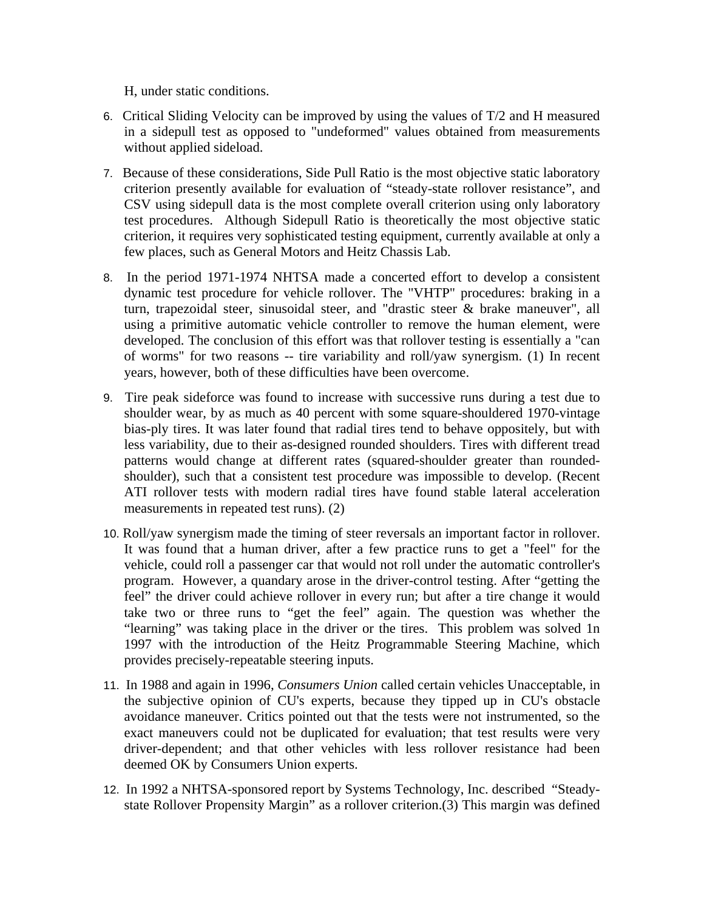H, under static conditions.

- 6. Critical Sliding Velocity can be improved by using the values of  $T/2$  and H measured in a sidepull test as opposed to "undeformed" values obtained from measurements without applied sideload.
- 7. Because of these considerations, Side Pull Ratio is the most objective static laboratory criterion presently available for evaluation of "steady-state rollover resistance", and CSV using sidepull data is the most complete overall criterion using only laboratory test procedures. Although Sidepull Ratio is theoretically the most objective static criterion, it requires very sophisticated testing equipment, currently available at only a few places, such as General Motors and Heitz Chassis Lab.
- 8. In the period 1971-1974 NHTSA made a concerted effort to develop a consistent dynamic test procedure for vehicle rollover. The "VHTP" procedures: braking in a turn, trapezoidal steer, sinusoidal steer, and "drastic steer & brake maneuver", all using a primitive automatic vehicle controller to remove the human element, were developed. The conclusion of this effort was that rollover testing is essentially a "can of worms" for two reasons -- tire variability and roll/yaw synergism. (1) In recent years, however, both of these difficulties have been overcome.
- 9. Tire peak sideforce was found to increase with successive runs during a test due to shoulder wear, by as much as 40 percent with some square-shouldered 1970-vintage bias-ply tires. It was later found that radial tires tend to behave oppositely, but with less variability, due to their as-designed rounded shoulders. Tires with different tread patterns would change at different rates (squared-shoulder greater than roundedshoulder), such that a consistent test procedure was impossible to develop. (Recent ATI rollover tests with modern radial tires have found stable lateral acceleration measurements in repeated test runs). (2)
- 10. Roll/yaw synergism made the timing of steer reversals an important factor in rollover. It was found that a human driver, after a few practice runs to get a "feel" for the vehicle, could roll a passenger car that would not roll under the automatic controller's program. However, a quandary arose in the driver-control testing. After "getting the feel" the driver could achieve rollover in every run; but after a tire change it would take two or three runs to "get the feel" again. The question was whether the "learning" was taking place in the driver or the tires. This problem was solved 1n 1997 with the introduction of the Heitz Programmable Steering Machine, which provides precisely-repeatable steering inputs.
- 11. In 1988 and again in 1996, *Consumers Union* called certain vehicles Unacceptable, in the subjective opinion of CU's experts, because they tipped up in CU's obstacle avoidance maneuver. Critics pointed out that the tests were not instrumented, so the exact maneuvers could not be duplicated for evaluation; that test results were very driver-dependent; and that other vehicles with less rollover resistance had been deemed OK by Consumers Union experts.
- 12. In 1992 a NHTSA-sponsored report by Systems Technology, Inc. described "Steadystate Rollover Propensity Margin" as a rollover criterion.(3) This margin was defined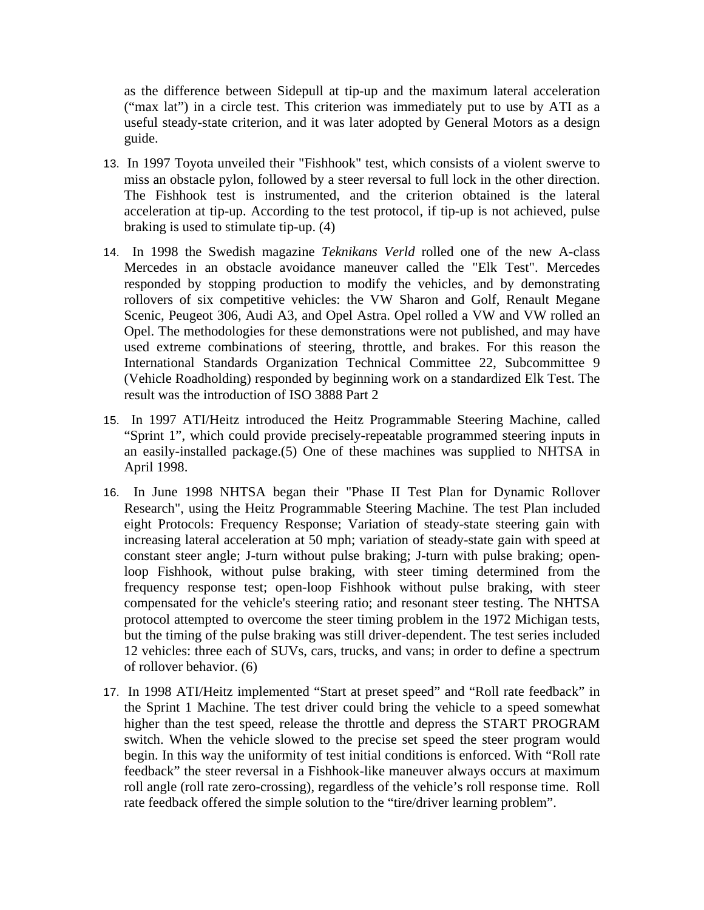as the difference between Sidepull at tip-up and the maximum lateral acceleration ("max lat") in a circle test. This criterion was immediately put to use by ATI as a useful steady-state criterion, and it was later adopted by General Motors as a design guide.

- 13. In 1997 Toyota unveiled their "Fishhook" test, which consists of a violent swerve to miss an obstacle pylon, followed by a steer reversal to full lock in the other direction. The Fishhook test is instrumented, and the criterion obtained is the lateral acceleration at tip-up. According to the test protocol, if tip-up is not achieved, pulse braking is used to stimulate tip-up. (4)
- 14. In 1998 the Swedish magazine *Teknikans Verld* rolled one of the new A-class Mercedes in an obstacle avoidance maneuver called the "Elk Test". Mercedes responded by stopping production to modify the vehicles, and by demonstrating rollovers of six competitive vehicles: the VW Sharon and Golf, Renault Megane Scenic, Peugeot 306, Audi A3, and Opel Astra. Opel rolled a VW and VW rolled an Opel. The methodologies for these demonstrations were not published, and may have used extreme combinations of steering, throttle, and brakes. For this reason the International Standards Organization Technical Committee 22, Subcommittee 9 (Vehicle Roadholding) responded by beginning work on a standardized Elk Test. The result was the introduction of ISO 3888 Part 2
- 15. In 1997 ATI/Heitz introduced the Heitz Programmable Steering Machine, called "Sprint 1", which could provide precisely-repeatable programmed steering inputs in an easily-installed package.(5) One of these machines was supplied to NHTSA in April 1998.
- 16. In June 1998 NHTSA began their "Phase II Test Plan for Dynamic Rollover Research", using the Heitz Programmable Steering Machine. The test Plan included eight Protocols: Frequency Response; Variation of steady-state steering gain with increasing lateral acceleration at 50 mph; variation of steady-state gain with speed at constant steer angle; J-turn without pulse braking; J-turn with pulse braking; openloop Fishhook, without pulse braking, with steer timing determined from the frequency response test; open-loop Fishhook without pulse braking, with steer compensated for the vehicle's steering ratio; and resonant steer testing. The NHTSA protocol attempted to overcome the steer timing problem in the 1972 Michigan tests, but the timing of the pulse braking was still driver-dependent. The test series included 12 vehicles: three each of SUVs, cars, trucks, and vans; in order to define a spectrum of rollover behavior. (6)
- 17. In 1998 ATI/Heitz implemented "Start at preset speed" and "Roll rate feedback" in the Sprint 1 Machine. The test driver could bring the vehicle to a speed somewhat higher than the test speed, release the throttle and depress the START PROGRAM switch. When the vehicle slowed to the precise set speed the steer program would begin. In this way the uniformity of test initial conditions is enforced. With "Roll rate feedback" the steer reversal in a Fishhook-like maneuver always occurs at maximum roll angle (roll rate zero-crossing), regardless of the vehicle's roll response time. Roll rate feedback offered the simple solution to the "tire/driver learning problem".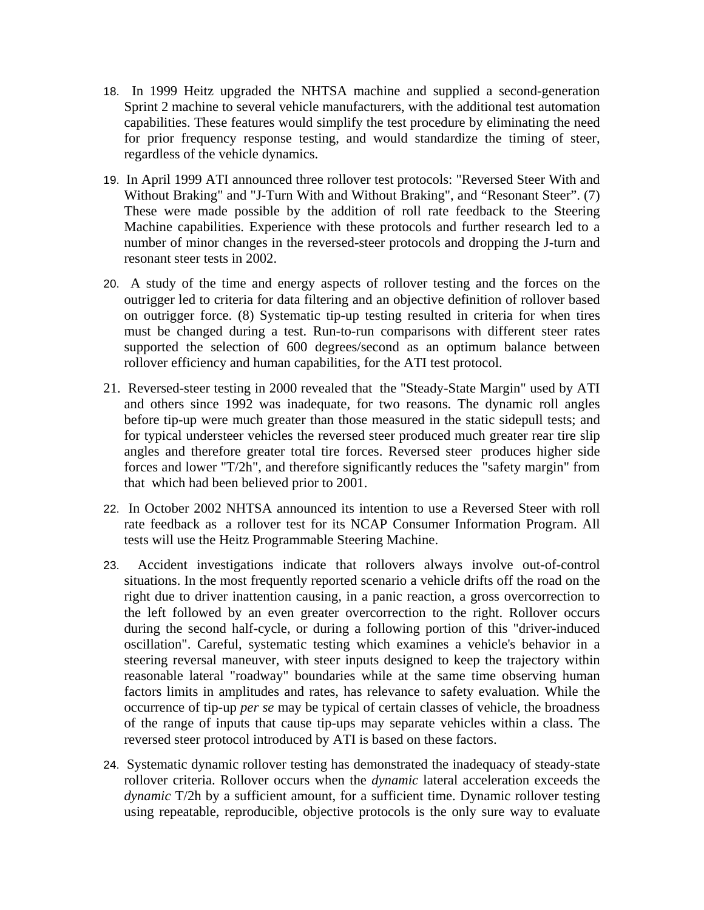- 18. In 1999 Heitz upgraded the NHTSA machine and supplied a second-generation Sprint 2 machine to several vehicle manufacturers, with the additional test automation capabilities. These features would simplify the test procedure by eliminating the need for prior frequency response testing, and would standardize the timing of steer, regardless of the vehicle dynamics.
- 19. In April 1999 ATI announced three rollover test protocols: "Reversed Steer With and Without Braking" and "J-Turn With and Without Braking", and "Resonant Steer". (7) These were made possible by the addition of roll rate feedback to the Steering Machine capabilities. Experience with these protocols and further research led to a number of minor changes in the reversed-steer protocols and dropping the J-turn and resonant steer tests in 2002.
- 20. A study of the time and energy aspects of rollover testing and the forces on the outrigger led to criteria for data filtering and an objective definition of rollover based on outrigger force. (8) Systematic tip-up testing resulted in criteria for when tires must be changed during a test. Run-to-run comparisons with different steer rates supported the selection of 600 degrees/second as an optimum balance between rollover efficiency and human capabilities, for the ATI test protocol.
- 21. Reversed-steer testing in 2000 revealed that the "Steady-State Margin" used by ATI and others since 1992 was inadequate, for two reasons. The dynamic roll angles before tip-up were much greater than those measured in the static sidepull tests; and for typical understeer vehicles the reversed steer produced much greater rear tire slip angles and therefore greater total tire forces. Reversed steer produces higher side forces and lower "T/2h", and therefore significantly reduces the "safety margin" from that which had been believed prior to 2001.
- 22. In October 2002 NHTSA announced its intention to use a Reversed Steer with roll rate feedback as a rollover test for its NCAP Consumer Information Program. All tests will use the Heitz Programmable Steering Machine.
- 23. Accident investigations indicate that rollovers always involve out-of-control situations. In the most frequently reported scenario a vehicle drifts off the road on the right due to driver inattention causing, in a panic reaction, a gross overcorrection to the left followed by an even greater overcorrection to the right. Rollover occurs during the second half-cycle, or during a following portion of this "driver-induced oscillation". Careful, systematic testing which examines a vehicle's behavior in a steering reversal maneuver, with steer inputs designed to keep the trajectory within reasonable lateral "roadway" boundaries while at the same time observing human factors limits in amplitudes and rates, has relevance to safety evaluation. While the occurrence of tip-up *per se* may be typical of certain classes of vehicle, the broadness of the range of inputs that cause tip-ups may separate vehicles within a class. The reversed steer protocol introduced by ATI is based on these factors.
- 24. Systematic dynamic rollover testing has demonstrated the inadequacy of steady-state rollover criteria. Rollover occurs when the *dynamic* lateral acceleration exceeds the *dynamic* T/2h by a sufficient amount, for a sufficient time. Dynamic rollover testing using repeatable, reproducible, objective protocols is the only sure way to evaluate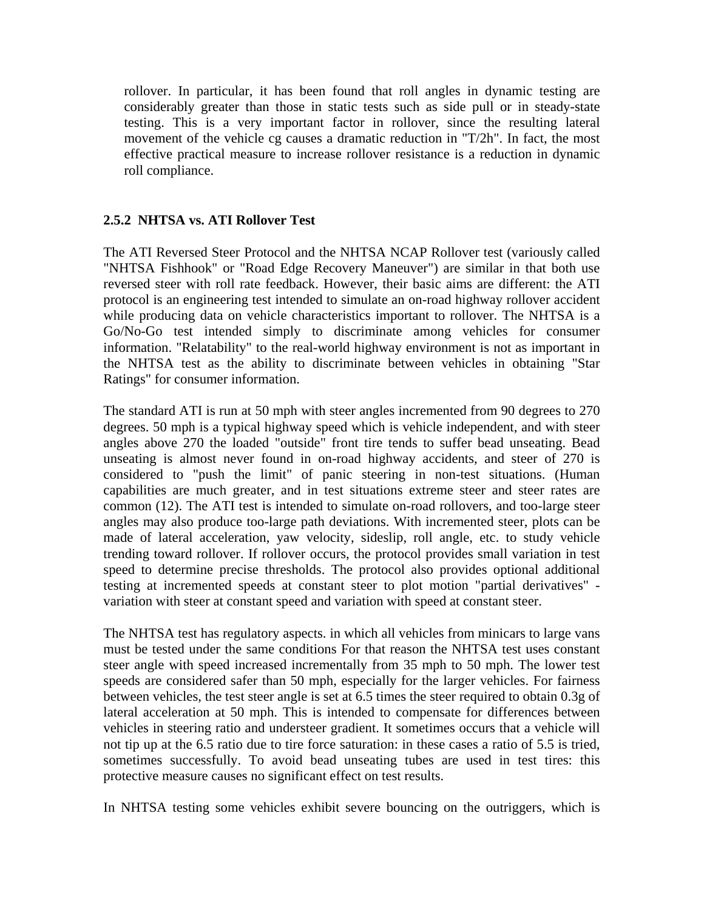rollover. In particular, it has been found that roll angles in dynamic testing are considerably greater than those in static tests such as side pull or in steady-state testing. This is a very important factor in rollover, since the resulting lateral movement of the vehicle cg causes a dramatic reduction in "T/2h". In fact, the most effective practical measure to increase rollover resistance is a reduction in dynamic roll compliance.

#### **2.5.2 NHTSA vs. ATI Rollover Test**

The ATI Reversed Steer Protocol and the NHTSA NCAP Rollover test (variously called "NHTSA Fishhook" or "Road Edge Recovery Maneuver") are similar in that both use reversed steer with roll rate feedback. However, their basic aims are different: the ATI protocol is an engineering test intended to simulate an on-road highway rollover accident while producing data on vehicle characteristics important to rollover. The NHTSA is a Go/No-Go test intended simply to discriminate among vehicles for consumer information. "Relatability" to the real-world highway environment is not as important in the NHTSA test as the ability to discriminate between vehicles in obtaining "Star Ratings" for consumer information.

The standard ATI is run at 50 mph with steer angles incremented from 90 degrees to 270 degrees. 50 mph is a typical highway speed which is vehicle independent, and with steer angles above 270 the loaded "outside" front tire tends to suffer bead unseating. Bead unseating is almost never found in on-road highway accidents, and steer of 270 is considered to "push the limit" of panic steering in non-test situations. (Human capabilities are much greater, and in test situations extreme steer and steer rates are common (12). The ATI test is intended to simulate on-road rollovers, and too-large steer angles may also produce too-large path deviations. With incremented steer, plots can be made of lateral acceleration, yaw velocity, sideslip, roll angle, etc. to study vehicle trending toward rollover. If rollover occurs, the protocol provides small variation in test speed to determine precise thresholds. The protocol also provides optional additional testing at incremented speeds at constant steer to plot motion "partial derivatives" variation with steer at constant speed and variation with speed at constant steer.

The NHTSA test has regulatory aspects. in which all vehicles from minicars to large vans must be tested under the same conditions For that reason the NHTSA test uses constant steer angle with speed increased incrementally from 35 mph to 50 mph. The lower test speeds are considered safer than 50 mph, especially for the larger vehicles. For fairness between vehicles, the test steer angle is set at 6.5 times the steer required to obtain 0.3g of lateral acceleration at 50 mph. This is intended to compensate for differences between vehicles in steering ratio and understeer gradient. It sometimes occurs that a vehicle will not tip up at the 6.5 ratio due to tire force saturation: in these cases a ratio of 5.5 is tried, sometimes successfully. To avoid bead unseating tubes are used in test tires: this protective measure causes no significant effect on test results.

In NHTSA testing some vehicles exhibit severe bouncing on the outriggers, which is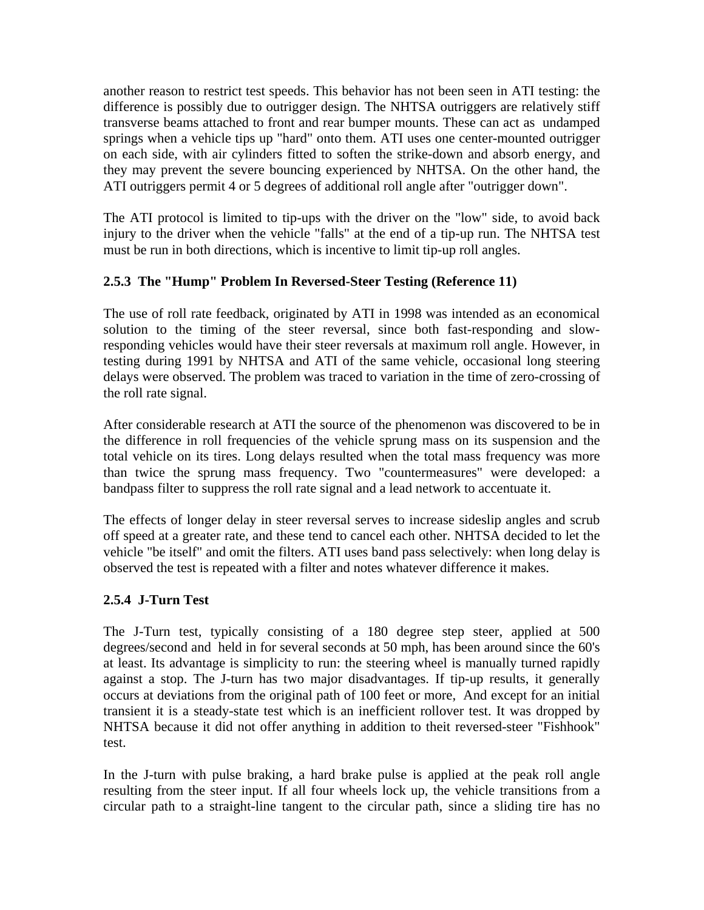another reason to restrict test speeds. This behavior has not been seen in ATI testing: the difference is possibly due to outrigger design. The NHTSA outriggers are relatively stiff transverse beams attached to front and rear bumper mounts. These can act as undamped springs when a vehicle tips up "hard" onto them. ATI uses one center-mounted outrigger on each side, with air cylinders fitted to soften the strike-down and absorb energy, and they may prevent the severe bouncing experienced by NHTSA. On the other hand, the ATI outriggers permit 4 or 5 degrees of additional roll angle after "outrigger down".

The ATI protocol is limited to tip-ups with the driver on the "low" side, to avoid back injury to the driver when the vehicle "falls" at the end of a tip-up run. The NHTSA test must be run in both directions, which is incentive to limit tip-up roll angles.

#### **2.5.3 The "Hump" Problem In Reversed-Steer Testing (Reference 11)**

The use of roll rate feedback, originated by ATI in 1998 was intended as an economical solution to the timing of the steer reversal, since both fast-responding and slowresponding vehicles would have their steer reversals at maximum roll angle. However, in testing during 1991 by NHTSA and ATI of the same vehicle, occasional long steering delays were observed. The problem was traced to variation in the time of zero-crossing of the roll rate signal.

After considerable research at ATI the source of the phenomenon was discovered to be in the difference in roll frequencies of the vehicle sprung mass on its suspension and the total vehicle on its tires. Long delays resulted when the total mass frequency was more than twice the sprung mass frequency. Two "countermeasures" were developed: a bandpass filter to suppress the roll rate signal and a lead network to accentuate it.

The effects of longer delay in steer reversal serves to increase sideslip angles and scrub off speed at a greater rate, and these tend to cancel each other. NHTSA decided to let the vehicle "be itself" and omit the filters. ATI uses band pass selectively: when long delay is observed the test is repeated with a filter and notes whatever difference it makes.

#### **2.5.4 J-Turn Test**

The J-Turn test, typically consisting of a 180 degree step steer, applied at 500 degrees/second and held in for several seconds at 50 mph, has been around since the 60's at least. Its advantage is simplicity to run: the steering wheel is manually turned rapidly against a stop. The J-turn has two major disadvantages. If tip-up results, it generally occurs at deviations from the original path of 100 feet or more, And except for an initial transient it is a steady-state test which is an inefficient rollover test. It was dropped by NHTSA because it did not offer anything in addition to theit reversed-steer "Fishhook" test.

In the J-turn with pulse braking, a hard brake pulse is applied at the peak roll angle resulting from the steer input. If all four wheels lock up, the vehicle transitions from a circular path to a straight-line tangent to the circular path, since a sliding tire has no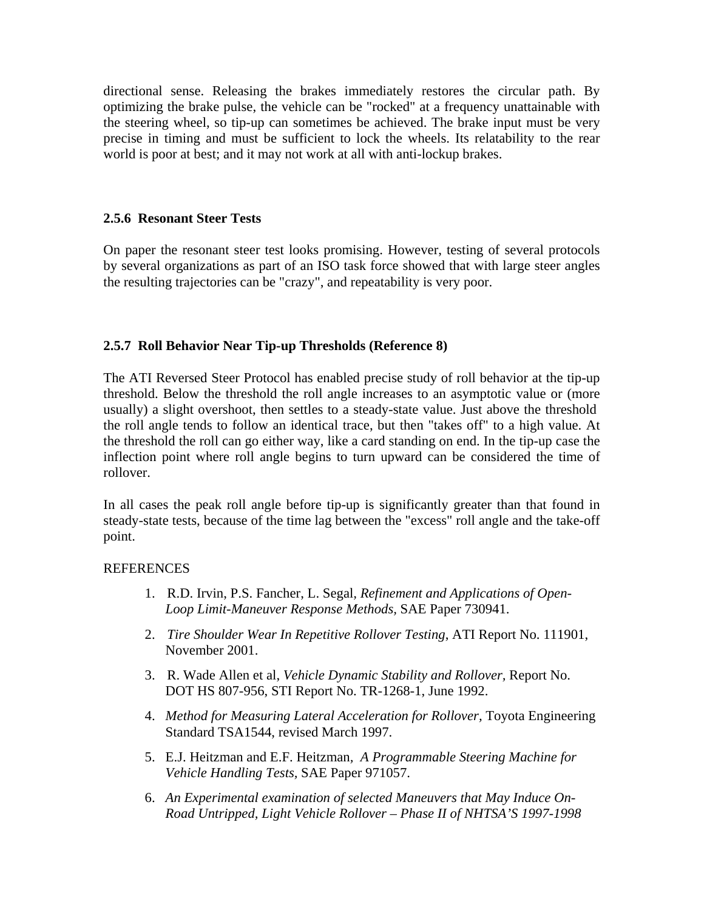directional sense. Releasing the brakes immediately restores the circular path. By optimizing the brake pulse, the vehicle can be "rocked" at a frequency unattainable with the steering wheel, so tip-up can sometimes be achieved. The brake input must be very precise in timing and must be sufficient to lock the wheels. Its relatability to the rear world is poor at best; and it may not work at all with anti-lockup brakes.

#### **2.5.6 Resonant Steer Tests**

On paper the resonant steer test looks promising. However, testing of several protocols by several organizations as part of an ISO task force showed that with large steer angles the resulting trajectories can be "crazy", and repeatability is very poor.

#### **2.5.7 Roll Behavior Near Tip-up Thresholds (Reference 8)**

The ATI Reversed Steer Protocol has enabled precise study of roll behavior at the tip-up threshold. Below the threshold the roll angle increases to an asymptotic value or (more usually) a slight overshoot, then settles to a steady-state value. Just above the threshold the roll angle tends to follow an identical trace, but then "takes off" to a high value. At the threshold the roll can go either way, like a card standing on end. In the tip-up case the inflection point where roll angle begins to turn upward can be considered the time of rollover.

In all cases the peak roll angle before tip-up is significantly greater than that found in steady-state tests, because of the time lag between the "excess" roll angle and the take-off point.

#### **REFERENCES**

- 1. R.D. Irvin, P.S. Fancher, L. Segal*, Refinement and Applications of Open-Loop Limit-Maneuver Response Methods,* SAE Paper 730941.
- 2. *Tire Shoulder Wear In Repetitive Rollover Testing*, ATI Report No. 111901, November 2001.
- 3.R. Wade Allen et al, *Vehicle Dynamic Stability and Rollover,* Report No. DOT HS 807-956, STI Report No. TR-1268-1, June 1992.
- 4. *Method for Measuring Lateral Acceleration for Rollover,* Toyota Engineering Standard TSA1544, revised March 1997.
- 5. E.J. Heitzman and E.F. Heitzman*, A Programmable Steering Machine for Vehicle Handling Tests,* SAE Paper 971057.
- 6. *An Experimental examination of selected Maneuvers that May Induce On-Road Untripped, Light Vehicle Rollover – Phase II of NHTSA'S 1997-1998*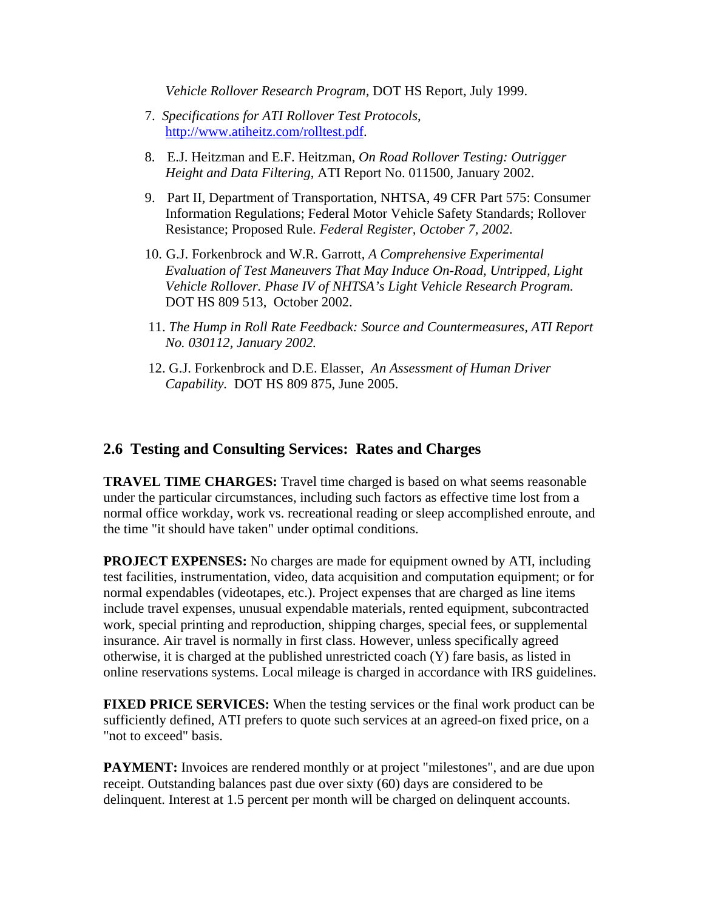*Vehicle Rollover Research Program,* DOT HS Report, July 1999.

- 7. *Specifications for ATI Rollover Test Protocols*, http://www.atiheitz.com/rolltest.pdf.
- 8. E.J. Heitzman and E.F. Heitzman, *On Road Rollover Testing: Outrigger Height and Data Filtering*, ATI Report No. 011500, January 2002.
- 9. Part II, Department of Transportation, NHTSA, 49 CFR Part 575: Consumer Information Regulations; Federal Motor Vehicle Safety Standards; Rollover Resistance; Proposed Rule. *Federal Register, October 7, 2002.*
- 10. G.J. Forkenbrock and W.R. Garrott, *A Comprehensive Experimental Evaluation of Test Maneuvers That May Induce On-Road, Untripped, Light Vehicle Rollover. Phase IV of NHTSA's Light Vehicle Research Program.* DOT HS 809 513, October 2002.
- 11. *The Hump in Roll Rate Feedback: Source and Countermeasures, ATI Report No. 030112, January 2002.*
- 12. G.J. Forkenbrock and D.E. Elasser, *An Assessment of Human Driver Capability.* DOT HS 809 875, June 2005.

## **2.6 Testing and Consulting Services: Rates and Charges**

**TRAVEL TIME CHARGES:** Travel time charged is based on what seems reasonable under the particular circumstances, including such factors as effective time lost from a normal office workday, work vs. recreational reading or sleep accomplished enroute, and the time "it should have taken" under optimal conditions.

**PROJECT EXPENSES:** No charges are made for equipment owned by ATI, including test facilities, instrumentation, video, data acquisition and computation equipment; or for normal expendables (videotapes, etc.). Project expenses that are charged as line items include travel expenses, unusual expendable materials, rented equipment, subcontracted work, special printing and reproduction, shipping charges, special fees, or supplemental insurance. Air travel is normally in first class. However, unless specifically agreed otherwise, it is charged at the published unrestricted coach (Y) fare basis, as listed in online reservations systems. Local mileage is charged in accordance with IRS guidelines.

**FIXED PRICE SERVICES:** When the testing services or the final work product can be sufficiently defined, ATI prefers to quote such services at an agreed-on fixed price, on a "not to exceed" basis.

**PAYMENT:** Invoices are rendered monthly or at project "milestones", and are due upon receipt. Outstanding balances past due over sixty (60) days are considered to be delinquent. Interest at 1.5 percent per month will be charged on delinquent accounts.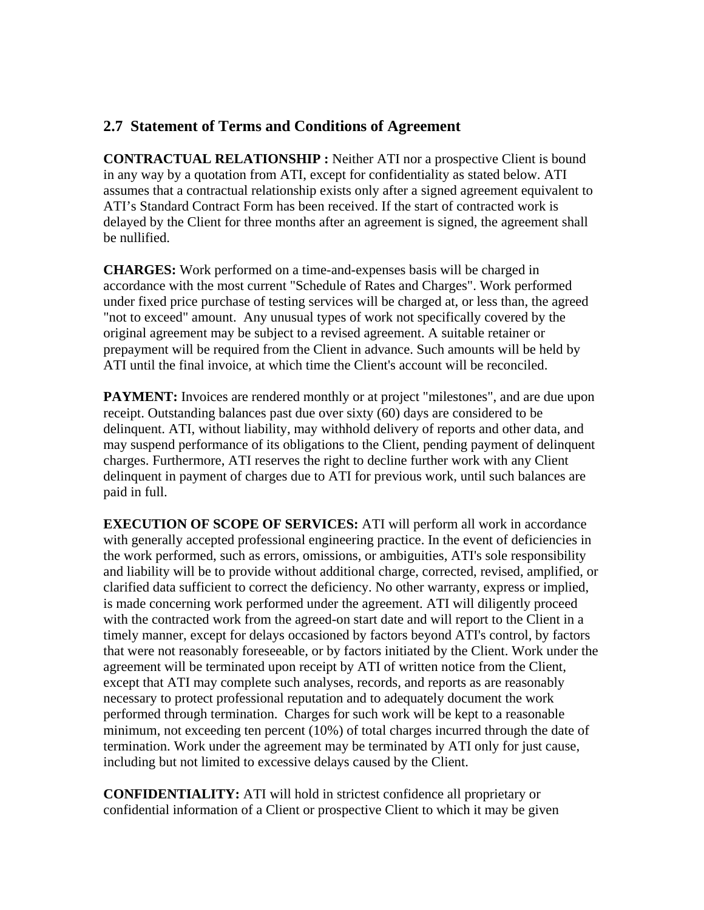## **2.7 Statement of Terms and Conditions of Agreement**

**CONTRACTUAL RELATIONSHIP :** Neither ATI nor a prospective Client is bound in any way by a quotation from ATI, except for confidentiality as stated below. ATI assumes that a contractual relationship exists only after a signed agreement equivalent to ATI's Standard Contract Form has been received. If the start of contracted work is delayed by the Client for three months after an agreement is signed, the agreement shall be nullified.

**CHARGES:** Work performed on a time-and-expenses basis will be charged in accordance with the most current "Schedule of Rates and Charges". Work performed under fixed price purchase of testing services will be charged at, or less than, the agreed "not to exceed" amount. Any unusual types of work not specifically covered by the original agreement may be subject to a revised agreement. A suitable retainer or prepayment will be required from the Client in advance. Such amounts will be held by ATI until the final invoice, at which time the Client's account will be reconciled.

**PAYMENT:** Invoices are rendered monthly or at project "milestones", and are due upon receipt. Outstanding balances past due over sixty (60) days are considered to be delinquent. ATI, without liability, may withhold delivery of reports and other data, and may suspend performance of its obligations to the Client, pending payment of delinquent charges. Furthermore, ATI reserves the right to decline further work with any Client delinquent in payment of charges due to ATI for previous work, until such balances are paid in full.

**EXECUTION OF SCOPE OF SERVICES:** ATI will perform all work in accordance with generally accepted professional engineering practice. In the event of deficiencies in the work performed, such as errors, omissions, or ambiguities, ATI's sole responsibility and liability will be to provide without additional charge, corrected, revised, amplified, or clarified data sufficient to correct the deficiency. No other warranty, express or implied, is made concerning work performed under the agreement. ATI will diligently proceed with the contracted work from the agreed-on start date and will report to the Client in a timely manner, except for delays occasioned by factors beyond ATI's control, by factors that were not reasonably foreseeable, or by factors initiated by the Client. Work under the agreement will be terminated upon receipt by ATI of written notice from the Client, except that ATI may complete such analyses, records, and reports as are reasonably necessary to protect professional reputation and to adequately document the work performed through termination. Charges for such work will be kept to a reasonable minimum, not exceeding ten percent (10%) of total charges incurred through the date of termination. Work under the agreement may be terminated by ATI only for just cause, including but not limited to excessive delays caused by the Client.

**CONFIDENTIALITY:** ATI will hold in strictest confidence all proprietary or confidential information of a Client or prospective Client to which it may be given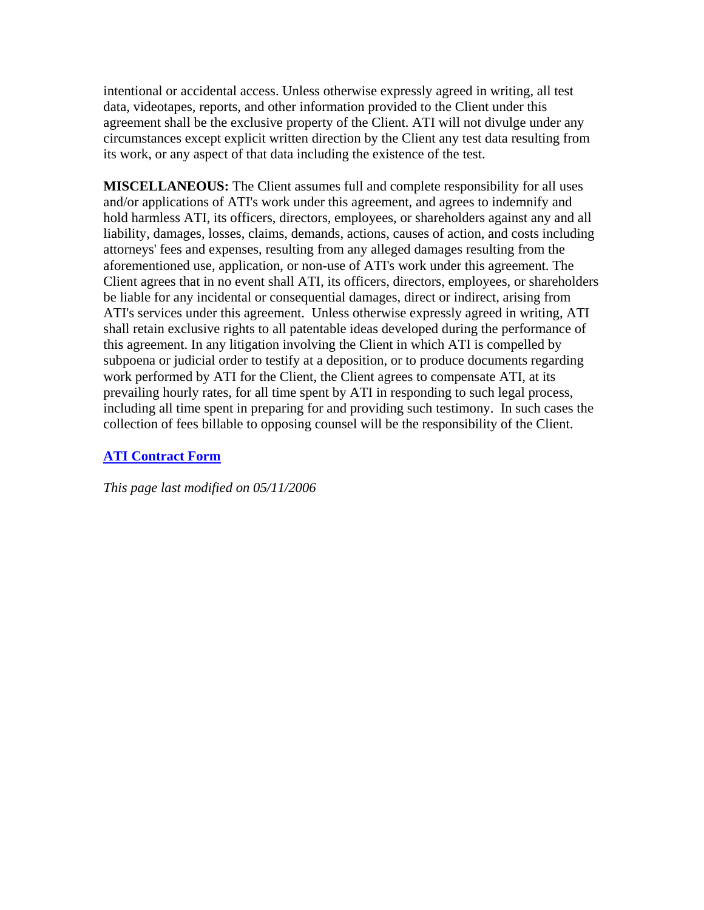intentional or accidental access. Unless otherwise expressly agreed in writing, all test data, videotapes, reports, and other information provided to the Client under this agreement shall be the exclusive property of the Client. ATI will not divulge under any circumstances except explicit written direction by the Client any test data resulting from its work, or any aspect of that data including the existence of the test.

**MISCELLANEOUS:** The Client assumes full and complete responsibility for all uses and/or applications of ATI's work under this agreement, and agrees to indemnify and hold harmless ATI, its officers, directors, employees, or shareholders against any and all liability, damages, losses, claims, demands, actions, causes of action, and costs including attorneys' fees and expenses, resulting from any alleged damages resulting from the aforementioned use, application, or non-use of ATI's work under this agreement. The Client agrees that in no event shall ATI, its officers, directors, employees, or shareholders be liable for any incidental or consequential damages, direct or indirect, arising from ATI's services under this agreement. Unless otherwise expressly agreed in writing, ATI shall retain exclusive rights to all patentable ideas developed during the performance of this agreement. In any litigation involving the Client in which ATI is compelled by subpoena or judicial order to testify at a deposition, or to produce documents regarding work performed by ATI for the Client, the Client agrees to compensate ATI, at its prevailing hourly rates, for all time spent by ATI in responding to such legal process, including all time spent in preparing for and providing such testimony. In such cases the collection of fees billable to opposing counsel will be the responsibility of the Client.

#### **ATI Contract Form**

*This page last modified on 05/11/2006*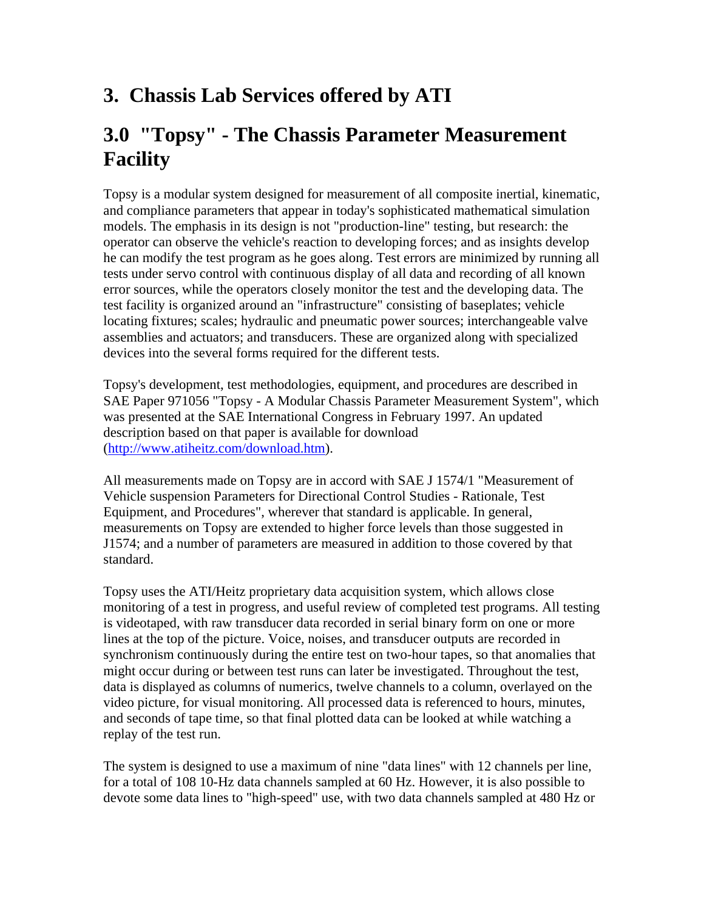## **3. Chassis Lab Services offered by ATI**

## **3.0 "Topsy" - The Chassis Parameter Measurement Facility**

Topsy is a modular system designed for measurement of all composite inertial, kinematic, and compliance parameters that appear in today's sophisticated mathematical simulation models. The emphasis in its design is not "production-line" testing, but research: the operator can observe the vehicle's reaction to developing forces; and as insights develop he can modify the test program as he goes along. Test errors are minimized by running all tests under servo control with continuous display of all data and recording of all known error sources, while the operators closely monitor the test and the developing data. The test facility is organized around an "infrastructure" consisting of baseplates; vehicle locating fixtures; scales; hydraulic and pneumatic power sources; interchangeable valve assemblies and actuators; and transducers. These are organized along with specialized devices into the several forms required for the different tests.

Topsy's development, test methodologies, equipment, and procedures are described in SAE Paper 971056 "Topsy - A Modular Chassis Parameter Measurement System", which was presented at the SAE International Congress in February 1997. An updated description based on that paper is available for download (http://www.atiheitz.com/download.htm).

All measurements made on Topsy are in accord with SAE J 1574/1 "Measurement of Vehicle suspension Parameters for Directional Control Studies - Rationale, Test Equipment, and Procedures", wherever that standard is applicable. In general, measurements on Topsy are extended to higher force levels than those suggested in J1574; and a number of parameters are measured in addition to those covered by that standard.

Topsy uses the ATI/Heitz proprietary data acquisition system, which allows close monitoring of a test in progress, and useful review of completed test programs. All testing is videotaped, with raw transducer data recorded in serial binary form on one or more lines at the top of the picture. Voice, noises, and transducer outputs are recorded in synchronism continuously during the entire test on two-hour tapes, so that anomalies that might occur during or between test runs can later be investigated. Throughout the test, data is displayed as columns of numerics, twelve channels to a column, overlayed on the video picture, for visual monitoring. All processed data is referenced to hours, minutes, and seconds of tape time, so that final plotted data can be looked at while watching a replay of the test run.

The system is designed to use a maximum of nine "data lines" with 12 channels per line, for a total of 108 10-Hz data channels sampled at 60 Hz. However, it is also possible to devote some data lines to "high-speed" use, with two data channels sampled at 480 Hz or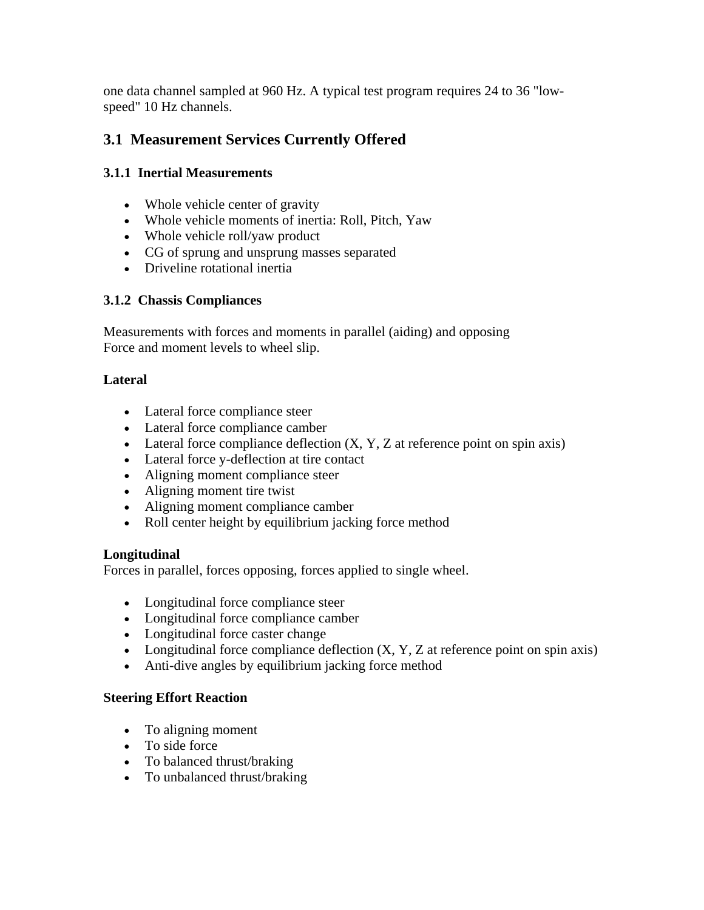one data channel sampled at 960 Hz. A typical test program requires 24 to 36 "lowspeed" 10 Hz channels.

## **3.1 Measurement Services Currently Offered**

### **3.1.1 Inertial Measurements**

- Whole vehicle center of gravity
- Whole vehicle moments of inertia: Roll, Pitch, Yaw
- Whole vehicle roll/yaw product
- CG of sprung and unsprung masses separated
- Driveline rotational inertia

#### **3.1.2 Chassis Compliances**

Measurements with forces and moments in parallel (aiding) and opposing Force and moment levels to wheel slip.

#### **Lateral**

- Lateral force compliance steer
- Lateral force compliance camber
- Lateral force compliance deflection  $(X, Y, Z)$  at reference point on spin axis)
- Lateral force y-deflection at tire contact
- Aligning moment compliance steer
- Aligning moment tire twist
- Aligning moment compliance camber
- Roll center height by equilibrium jacking force method

#### **Longitudinal**

Forces in parallel, forces opposing, forces applied to single wheel.

- Longitudinal force compliance steer
- Longitudinal force compliance camber
- Longitudinal force caster change
- Longitudinal force compliance deflection  $(X, Y, Z)$  at reference point on spin axis)
- Anti-dive angles by equilibrium jacking force method

#### **Steering Effort Reaction**

- To aligning moment
- To side force
- To balanced thrust/braking
- To unbalanced thrust/braking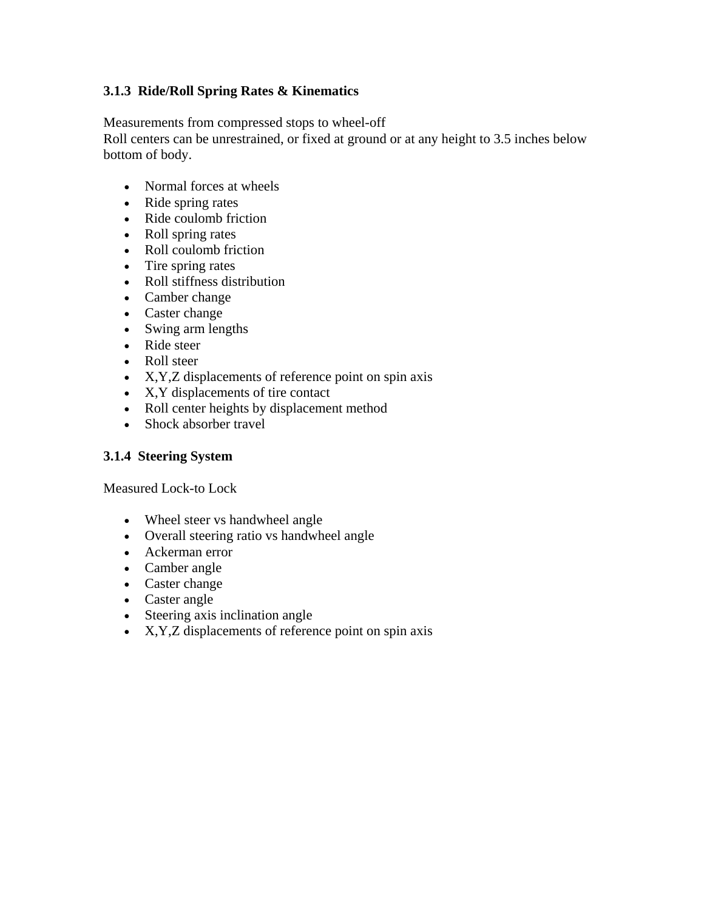#### **3.1.3 Ride/Roll Spring Rates & Kinematics**

Measurements from compressed stops to wheel-off Roll centers can be unrestrained, or fixed at ground or at any height to 3.5 inches below bottom of body.

- Normal forces at wheels
- Ride spring rates
- Ride coulomb friction
- Roll spring rates
- Roll coulomb friction
- Tire spring rates
- Roll stiffness distribution
- Camber change
- Caster change
- Swing arm lengths
- Ride steer
- Roll steer
- X, Y, Z displacements of reference point on spin axis
- X, Y displacements of tire contact
- Roll center heights by displacement method
- Shock absorber travel

#### **3.1.4 Steering System**

Measured Lock-to Lock

- Wheel steer vs handwheel angle
- Overall steering ratio vs handwheel angle
- Ackerman error
- Camber angle
- Caster change
- Caster angle
- Steering axis inclination angle
- X,Y,Z displacements of reference point on spin axis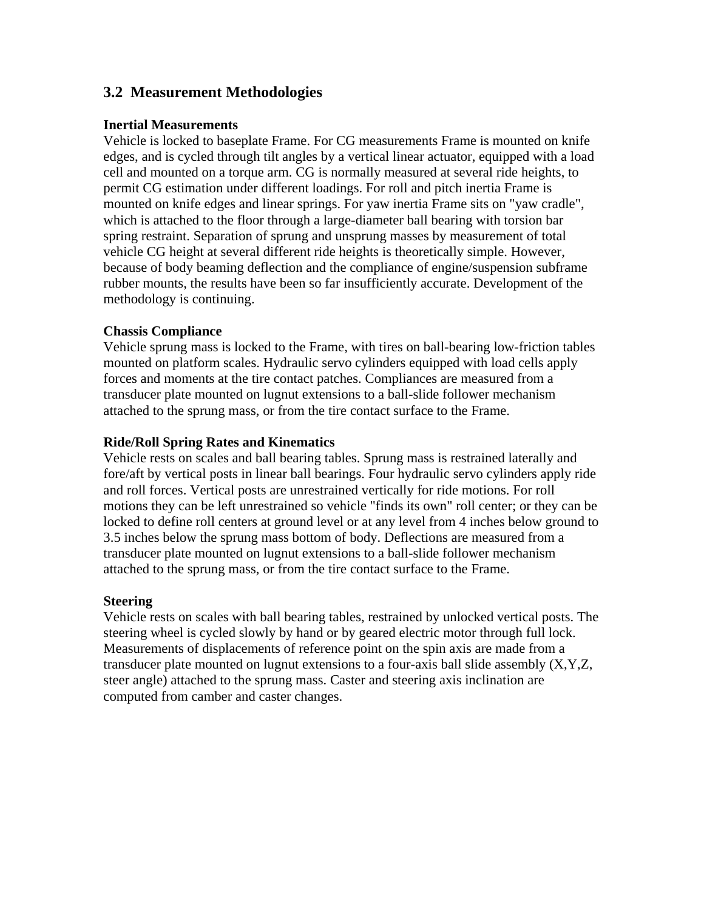## **3.2 Measurement Methodologies**

#### **Inertial Measurements**

Vehicle is locked to baseplate Frame. For CG measurements Frame is mounted on knife edges, and is cycled through tilt angles by a vertical linear actuator, equipped with a load cell and mounted on a torque arm. CG is normally measured at several ride heights, to permit CG estimation under different loadings. For roll and pitch inertia Frame is mounted on knife edges and linear springs. For yaw inertia Frame sits on "yaw cradle", which is attached to the floor through a large-diameter ball bearing with torsion bar spring restraint. Separation of sprung and unsprung masses by measurement of total vehicle CG height at several different ride heights is theoretically simple. However, because of body beaming deflection and the compliance of engine/suspension subframe rubber mounts, the results have been so far insufficiently accurate. Development of the methodology is continuing.

#### **Chassis Compliance**

Vehicle sprung mass is locked to the Frame, with tires on ball-bearing low-friction tables mounted on platform scales. Hydraulic servo cylinders equipped with load cells apply forces and moments at the tire contact patches. Compliances are measured from a transducer plate mounted on lugnut extensions to a ball-slide follower mechanism attached to the sprung mass, or from the tire contact surface to the Frame.

#### **Ride/Roll Spring Rates and Kinematics**

Vehicle rests on scales and ball bearing tables. Sprung mass is restrained laterally and fore/aft by vertical posts in linear ball bearings. Four hydraulic servo cylinders apply ride and roll forces. Vertical posts are unrestrained vertically for ride motions. For roll motions they can be left unrestrained so vehicle "finds its own" roll center; or they can be locked to define roll centers at ground level or at any level from 4 inches below ground to 3.5 inches below the sprung mass bottom of body. Deflections are measured from a transducer plate mounted on lugnut extensions to a ball-slide follower mechanism attached to the sprung mass, or from the tire contact surface to the Frame.

#### **Steering**

Vehicle rests on scales with ball bearing tables, restrained by unlocked vertical posts. The steering wheel is cycled slowly by hand or by geared electric motor through full lock. Measurements of displacements of reference point on the spin axis are made from a transducer plate mounted on lugnut extensions to a four-axis ball slide assembly (X,Y,Z, steer angle) attached to the sprung mass. Caster and steering axis inclination are computed from camber and caster changes.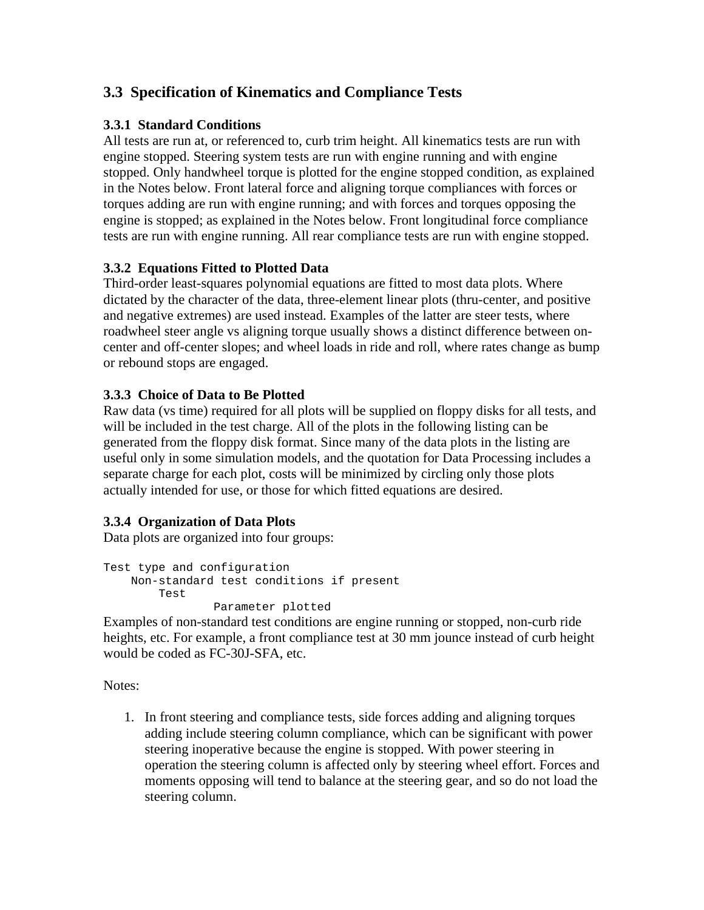## **3.3 Specification of Kinematics and Compliance Tests**

#### **3.3.1 Standard Conditions**

All tests are run at, or referenced to, curb trim height. All kinematics tests are run with engine stopped. Steering system tests are run with engine running and with engine stopped. Only handwheel torque is plotted for the engine stopped condition, as explained in the Notes below. Front lateral force and aligning torque compliances with forces or torques adding are run with engine running; and with forces and torques opposing the engine is stopped; as explained in the Notes below. Front longitudinal force compliance tests are run with engine running. All rear compliance tests are run with engine stopped.

#### **3.3.2 Equations Fitted to Plotted Data**

Third-order least-squares polynomial equations are fitted to most data plots. Where dictated by the character of the data, three-element linear plots (thru-center, and positive and negative extremes) are used instead. Examples of the latter are steer tests, where roadwheel steer angle vs aligning torque usually shows a distinct difference between oncenter and off-center slopes; and wheel loads in ride and roll, where rates change as bump or rebound stops are engaged.

#### **3.3.3 Choice of Data to Be Plotted**

Raw data (vs time) required for all plots will be supplied on floppy disks for all tests, and will be included in the test charge. All of the plots in the following listing can be generated from the floppy disk format. Since many of the data plots in the listing are useful only in some simulation models, and the quotation for Data Processing includes a separate charge for each plot, costs will be minimized by circling only those plots actually intended for use, or those for which fitted equations are desired.

#### **3.3.4 Organization of Data Plots**

Data plots are organized into four groups:

```
Test type and configuration 
Non-standard test conditions if present 
     Test 
              Parameter plotted
```
Examples of non-standard test conditions are engine running or stopped, non-curb ride heights, etc. For example, a front compliance test at 30 mm jounce instead of curb height would be coded as FC-30J-SFA, etc.

Notes:

1. In front steering and compliance tests, side forces adding and aligning torques adding include steering column compliance, which can be significant with power steering inoperative because the engine is stopped. With power steering in operation the steering column is affected only by steering wheel effort. Forces and moments opposing will tend to balance at the steering gear, and so do not load the steering column.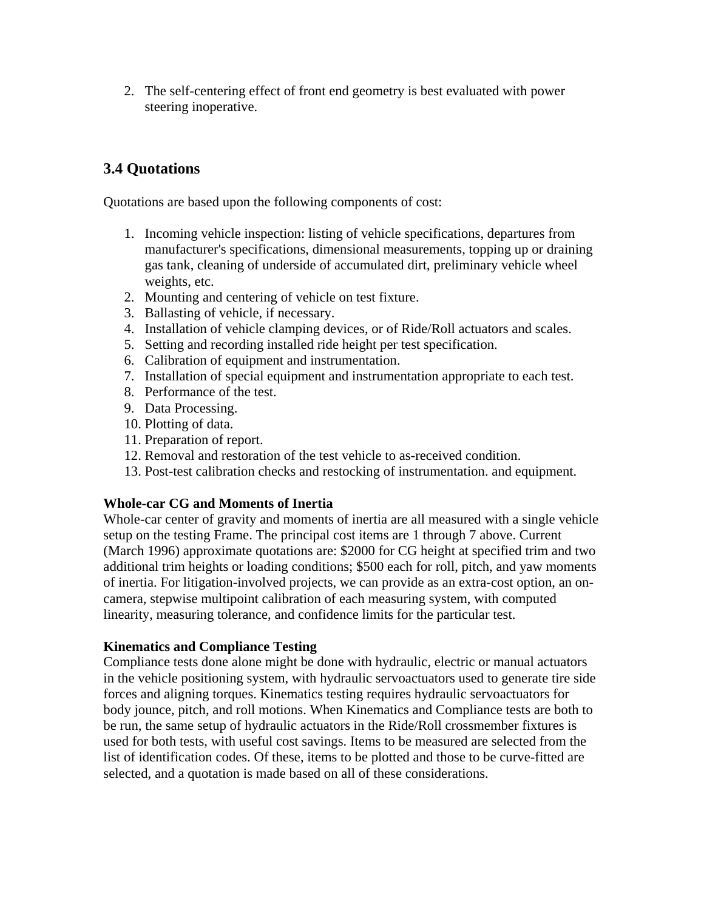2. The self-centering effect of front end geometry is best evaluated with power steering inoperative.

## **3.4 Quotations**

Quotations are based upon the following components of cost:

- 1. Incoming vehicle inspection: listing of vehicle specifications, departures from manufacturer's specifications, dimensional measurements, topping up or draining gas tank, cleaning of underside of accumulated dirt, preliminary vehicle wheel weights, etc.
- 2. Mounting and centering of vehicle on test fixture.
- 3. Ballasting of vehicle, if necessary.
- 4. Installation of vehicle clamping devices, or of Ride/Roll actuators and scales.
- 5. Setting and recording installed ride height per test specification.
- 6. Calibration of equipment and instrumentation.
- 7. Installation of special equipment and instrumentation appropriate to each test.
- 8. Performance of the test.
- 9. Data Processing.
- 10. Plotting of data.
- 11. Preparation of report.
- 12. Removal and restoration of the test vehicle to as-received condition.
- 13. Post-test calibration checks and restocking of instrumentation. and equipment.

#### **Whole-car CG and Moments of Inertia**

Whole-car center of gravity and moments of inertia are all measured with a single vehicle setup on the testing Frame. The principal cost items are 1 through 7 above. Current (March 1996) approximate quotations are: \$2000 for CG height at specified trim and two additional trim heights or loading conditions; \$500 each for roll, pitch, and yaw moments of inertia. For litigation-involved projects, we can provide as an extra-cost option, an oncamera, stepwise multipoint calibration of each measuring system, with computed linearity, measuring tolerance, and confidence limits for the particular test.

#### **Kinematics and Compliance Testing**

Compliance tests done alone might be done with hydraulic, electric or manual actuators in the vehicle positioning system, with hydraulic servoactuators used to generate tire side forces and aligning torques. Kinematics testing requires hydraulic servoactuators for body jounce, pitch, and roll motions. When Kinematics and Compliance tests are both to be run, the same setup of hydraulic actuators in the Ride/Roll crossmember fixtures is used for both tests, with useful cost savings. Items to be measured are selected from the list of identification codes. Of these, items to be plotted and those to be curve-fitted are selected, and a quotation is made based on all of these considerations.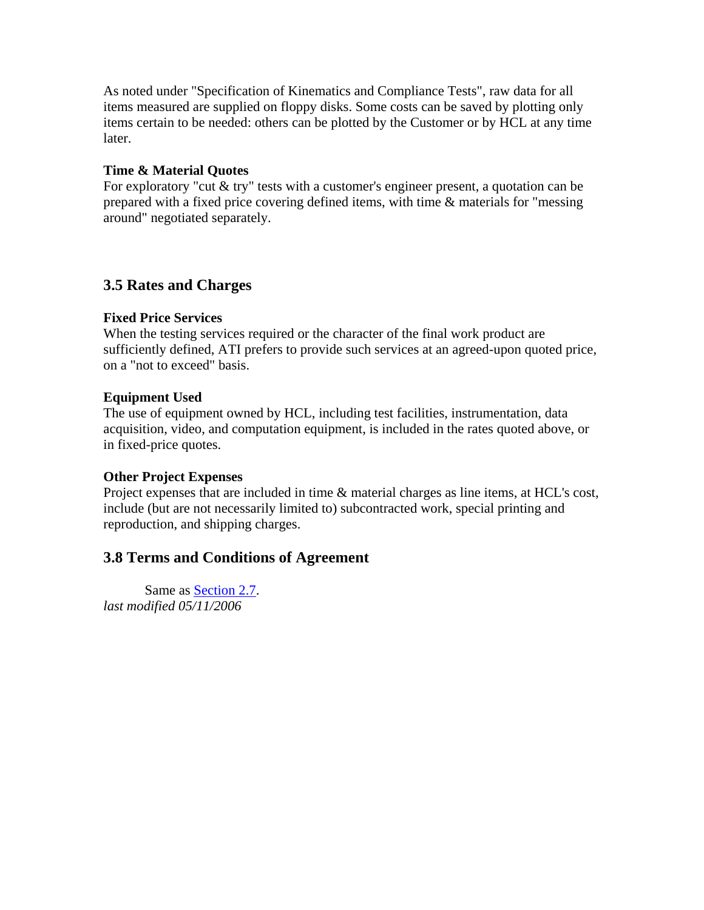As noted under "Specification of Kinematics and Compliance Tests", raw data for all items measured are supplied on floppy disks. Some costs can be saved by plotting only items certain to be needed: others can be plotted by the Customer or by HCL at any time later.

#### **Time & Material Quotes**

For exploratory "cut & try" tests with a customer's engineer present, a quotation can be prepared with a fixed price covering defined items, with time & materials for "messing around" negotiated separately.

## **3.5 Rates and Charges**

#### **Fixed Price Services**

When the testing services required or the character of the final work product are sufficiently defined, ATI prefers to provide such services at an agreed-upon quoted price, on a "not to exceed" basis.

#### **Equipment Used**

The use of equipment owned by HCL, including test facilities, instrumentation, data acquisition, video, and computation equipment, is included in the rates quoted above, or in fixed-price quotes.

#### **Other Project Expenses**

Project expenses that are included in time & material charges as line items, at HCL's cost, include (but are not necessarily limited to) subcontracted work, special printing and reproduction, and shipping charges.

## **3.8 Terms and Conditions of Agreement**

Same as Section 2.7. *last modified 05/11/2006*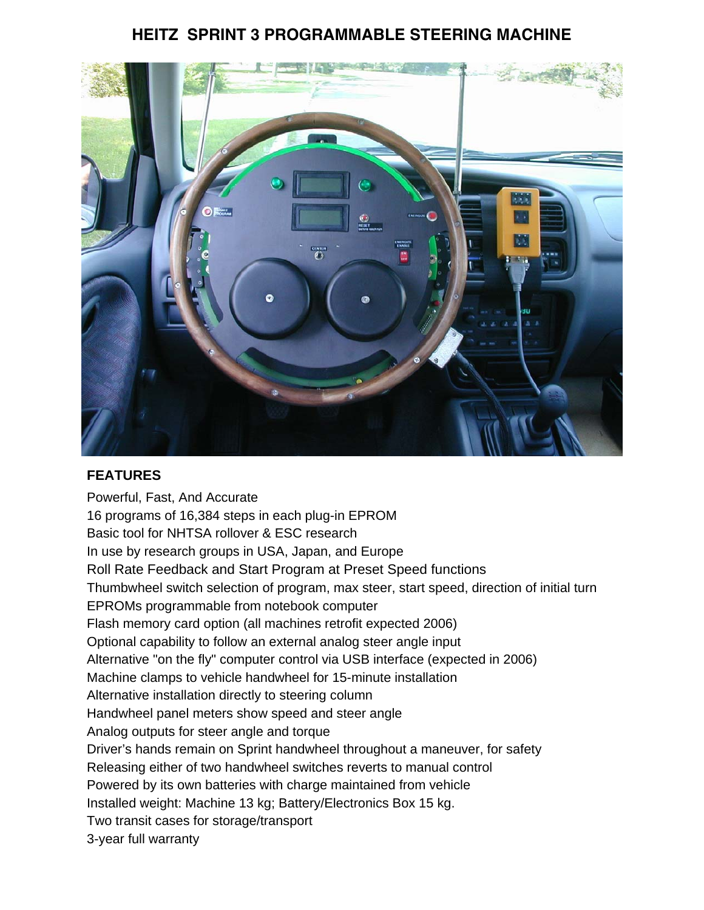## **HEITZ SPRINT 3 PROGRAMMABLE STEERING MACHINE**



## **FEATURES**

Powerful, Fast, And Accurate 16 programs of 16,384 steps in each plug-in EPROM Basic tool for NHTSA rollover & ESC research In use by research groups in USA, Japan, and Europe Roll Rate Feedback and Start Program at Preset Speed functions Thumbwheel switch selection of program, max steer, start speed, direction of initial turn EPROMs programmable from notebook computer Flash memory card option (all machines retrofit expected 2006) Optional capability to follow an external analog steer angle input Alternative "on the fly" computer control via USB interface (expected in 2006) Machine clamps to vehicle handwheel for 15-minute installation Alternative installation directly to steering column Handwheel panel meters show speed and steer angle Analog outputs for steer angle and torque Driver's hands remain on Sprint handwheel throughout a maneuver, for safety Releasing either of two handwheel switches reverts to manual control Powered by its own batteries with charge maintained from vehicle Installed weight: Machine 13 kg; Battery/Electronics Box 15 kg. Two transit cases for storage/transport 3-year full warranty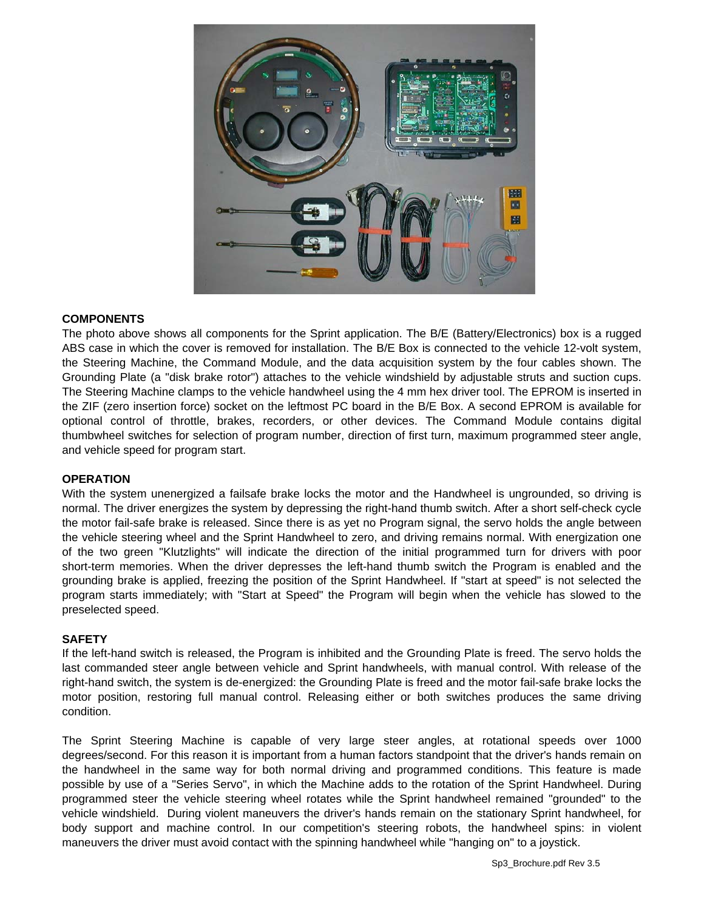

#### **COMPONENTS**

The photo above shows all components for the Sprint application. The B/E (Battery/Electronics) box is a rugged ABS case in which the cover is removed for installation. The B/E Box is connected to the vehicle 12-volt system, the Steering Machine, the Command Module, and the data acquisition system by the four cables shown. The Grounding Plate (a "disk brake rotor") attaches to the vehicle windshield by adjustable struts and suction cups. The Steering Machine clamps to the vehicle handwheel using the 4 mm hex driver tool. The EPROM is inserted in the ZIF (zero insertion force) socket on the leftmost PC board in the B/E Box. A second EPROM is available for optional control of throttle, brakes, recorders, or other devices. The Command Module contains digital thumbwheel switches for selection of program number, direction of first turn, maximum programmed steer angle, and vehicle speed for program start.

#### **OPERATION**

With the system unenergized a failsafe brake locks the motor and the Handwheel is ungrounded, so driving is normal. The driver energizes the system by depressing the right-hand thumb switch. After a short self-check cycle the motor fail-safe brake is released. Since there is as yet no Program signal, the servo holds the angle between the vehicle steering wheel and the Sprint Handwheel to zero, and driving remains normal. With energization one of the two green "Klutzlights" will indicate the direction of the initial programmed turn for drivers with poor short-term memories. When the driver depresses the left-hand thumb switch the Program is enabled and the grounding brake is applied, freezing the position of the Sprint Handwheel. If "start at speed" is not selected the program starts immediately; with "Start at Speed" the Program will begin when the vehicle has slowed to the preselected speed.

#### **SAFETY**

If the left-hand switch is released, the Program is inhibited and the Grounding Plate is freed. The servo holds the last commanded steer angle between vehicle and Sprint handwheels, with manual control. With release of the right-hand switch, the system is de-energized: the Grounding Plate is freed and the motor fail-safe brake locks the motor position, restoring full manual control. Releasing either or both switches produces the same driving condition.

The Sprint Steering Machine is capable of very large steer angles, at rotational speeds over 1000 degrees/second. For this reason it is important from a human factors standpoint that the driver's hands remain on the handwheel in the same way for both normal driving and programmed conditions. This feature is made possible by use of a "Series Servo", in which the Machine adds to the rotation of the Sprint Handwheel. During programmed steer the vehicle steering wheel rotates while the Sprint handwheel remained "grounded" to the vehicle windshield. During violent maneuvers the driver's hands remain on the stationary Sprint handwheel, for body support and machine control. In our competition's steering robots, the handwheel spins: in violent maneuvers the driver must avoid contact with the spinning handwheel while "hanging on" to a joystick.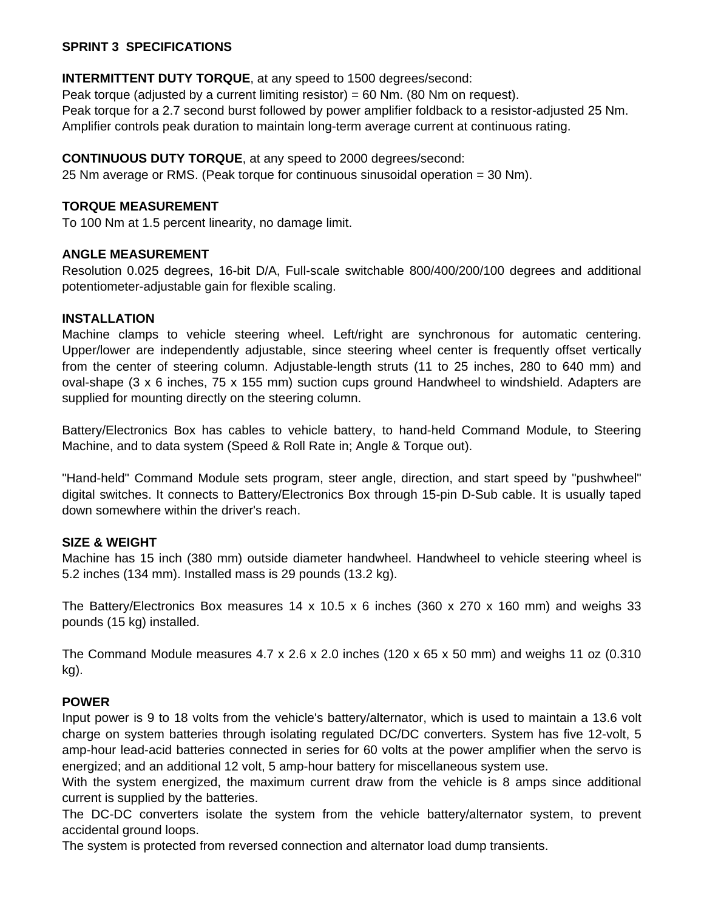#### **SPRINT 3 SPECIFICATIONS**

#### **INTERMITTENT DUTY TORQUE**, at any speed to 1500 degrees/second:

Peak torque (adjusted by a current limiting resistor) = 60 Nm. (80 Nm on request). Peak torque for a 2.7 second burst followed by power amplifier foldback to a resistor-adjusted 25 Nm. Amplifier controls peak duration to maintain long-term average current at continuous rating.

#### **CONTINUOUS DUTY TORQUE**, at any speed to 2000 degrees/second:

25 Nm average or RMS. (Peak torque for continuous sinusoidal operation = 30 Nm).

#### **TORQUE MEASUREMENT**

To 100 Nm at 1.5 percent linearity, no damage limit.

#### **ANGLE MEASUREMENT**

Resolution 0.025 degrees, 16-bit D/A, Full-scale switchable 800/400/200/100 degrees and additional potentiometer-adjustable gain for flexible scaling.

#### **INSTALLATION**

Machine clamps to vehicle steering wheel. Left/right are synchronous for automatic centering. Upper/lower are independently adjustable, since steering wheel center is frequently offset vertically from the center of steering column. Adjustable-length struts (11 to 25 inches, 280 to 640 mm) and oval-shape (3 x 6 inches, 75 x 155 mm) suction cups ground Handwheel to windshield. Adapters are supplied for mounting directly on the steering column.

Battery/Electronics Box has cables to vehicle battery, to hand-held Command Module, to Steering Machine, and to data system (Speed & Roll Rate in; Angle & Torque out).

"Hand-held" Command Module sets program, steer angle, direction, and start speed by "pushwheel" digital switches. It connects to Battery/Electronics Box through 15-pin D-Sub cable. It is usually taped down somewhere within the driver's reach.

#### **SIZE & WEIGHT**

Machine has 15 inch (380 mm) outside diameter handwheel. Handwheel to vehicle steering wheel is 5.2 inches (134 mm). Installed mass is 29 pounds (13.2 kg).

The Battery/Electronics Box measures 14 x 10.5 x 6 inches (360 x 270 x 160 mm) and weighs 33 pounds (15 kg) installed.

The Command Module measures  $4.7 \times 2.6 \times 2.0$  inches (120 x 65 x 50 mm) and weighs 11 oz (0.310 kg).

#### **POWER**

Input power is 9 to 18 volts from the vehicle's battery/alternator, which is used to maintain a 13.6 volt charge on system batteries through isolating regulated DC/DC converters. System has five 12-volt, 5 amp-hour lead-acid batteries connected in series for 60 volts at the power amplifier when the servo is energized; and an additional 12 volt, 5 amp-hour battery for miscellaneous system use.

With the system energized, the maximum current draw from the vehicle is 8 amps since additional current is supplied by the batteries.

The DC-DC converters isolate the system from the vehicle battery/alternator system, to prevent accidental ground loops.

The system is protected from reversed connection and alternator load dump transients.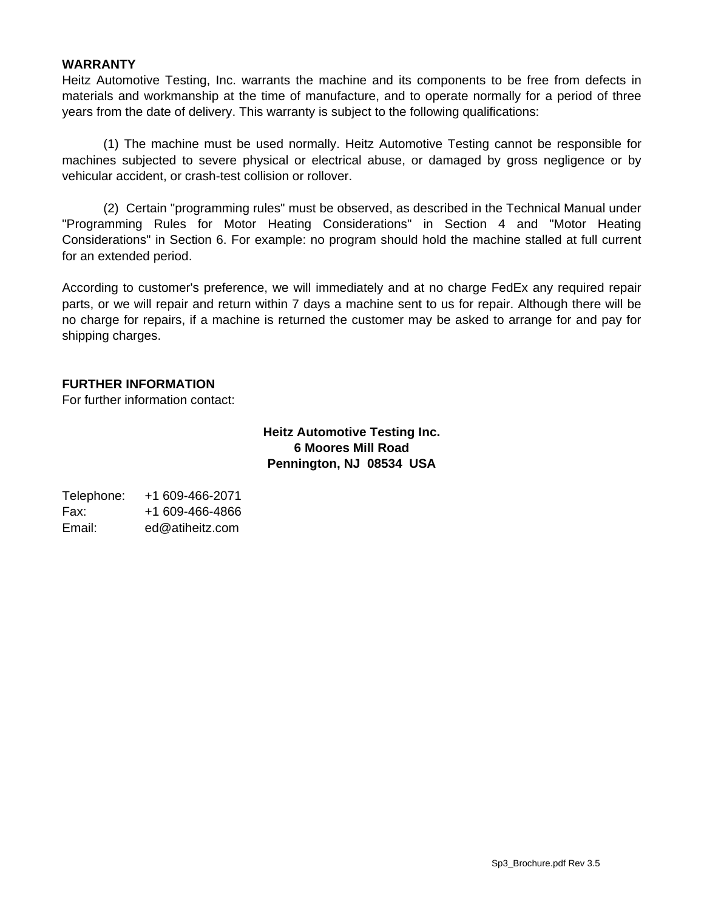#### **WARRANTY**

Heitz Automotive Testing, Inc. warrants the machine and its components to be free from defects in materials and workmanship at the time of manufacture, and to operate normally for a period of three years from the date of delivery. This warranty is subject to the following qualifications:

 (1) The machine must be used normally. Heitz Automotive Testing cannot be responsible for machines subjected to severe physical or electrical abuse, or damaged by gross negligence or by vehicular accident, or crash-test collision or rollover.

 (2) Certain "programming rules" must be observed, as described in the Technical Manual under "Programming Rules for Motor Heating Considerations" in Section 4 and "Motor Heating Considerations" in Section 6. For example: no program should hold the machine stalled at full current for an extended period.

According to customer's preference, we will immediately and at no charge FedEx any required repair parts, or we will repair and return within 7 days a machine sent to us for repair. Although there will be no charge for repairs, if a machine is returned the customer may be asked to arrange for and pay for shipping charges.

#### **FURTHER INFORMATION**

For further information contact:

#### **Heitz Automotive Testing Inc. 6 Moores Mill Road Pennington, NJ 08534 USA**

| Telephone: | +1 609-466-2071 |
|------------|-----------------|
| Fax:       | +1 609-466-4866 |
| Email:     | ed@atiheitz.com |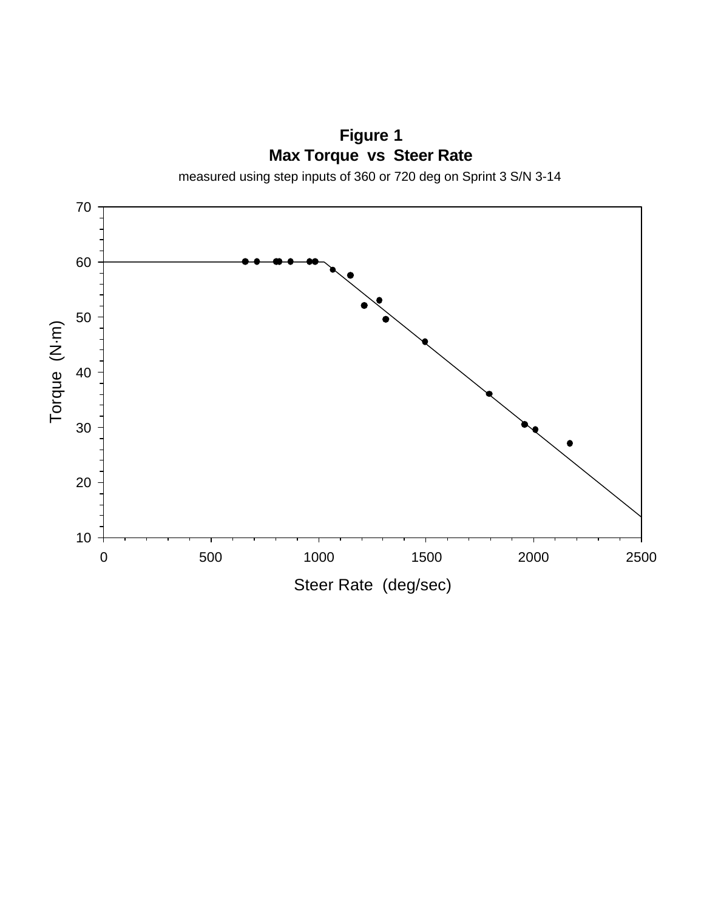**Figure 1 Max Torque vs Steer Rate**

measured using step inputs of 360 or 720 deg on Sprint 3 S/N 3-14

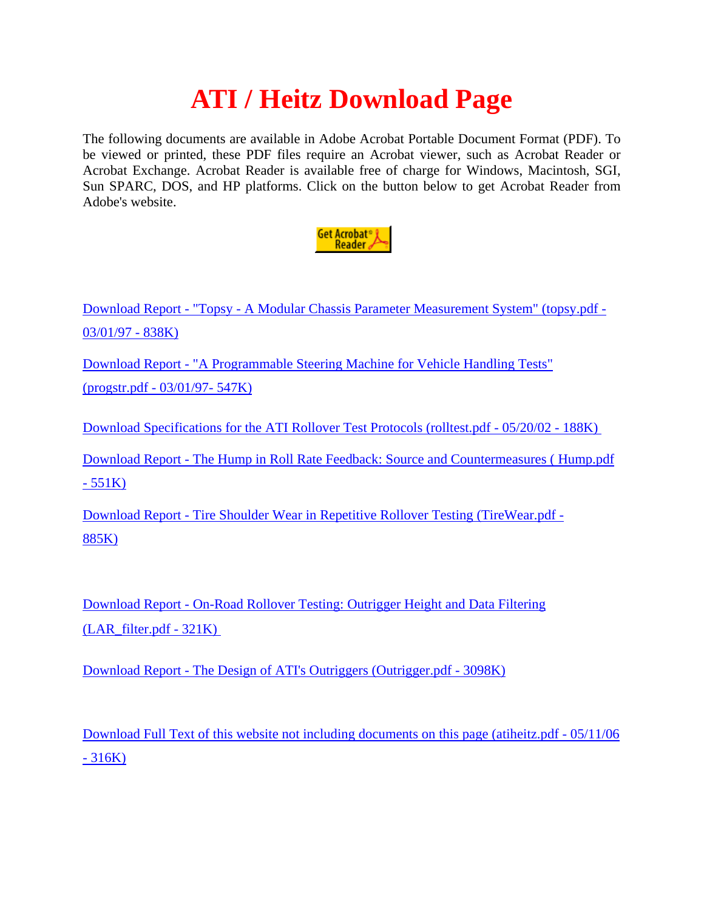# **ATI / Heitz Download Page**

The following documents are available in Adobe Acrobat Portable Document Format (PDF). To be viewed or printed, these PDF files require an Acrobat viewer, such as Acrobat Reader or Acrobat Exchange. Acrobat Reader is available free of charge for Windows, Macintosh, SGI, Sun SPARC, DOS, and HP platforms. Click on the button below to get Acrobat Reader from Adobe's website.



Download Report - "Topsy - A Modular Chassis Parameter Measurement System" (topsy.pdf - 03/01/97 - 838K)

Download Report - "A Programmable Steering Machine for Vehicle Handling Tests"

(progstr.pdf - 03/01/97- 547K)

Download Specifications for the ATI Rollover Test Protocols (rolltest.pdf - 05/20/02 - 188K)

Download Report - The Hump in Roll Rate Feedback: Source and Countermeasures ( Hump.pdf  $-551K$ )

Download Report - Tire Shoulder Wear in Repetitive Rollover Testing (TireWear.pdf - 885K)

Download Report - On-Road Rollover Testing: Outrigger Height and Data Filtering (LAR\_filter.pdf - 321K)

Download Report - The Design of ATI's Outriggers (Outrigger.pdf - 3098K)

Download Full Text of this website not including documents on this page (atiheitz.pdf - 05/11/06  $-316K$ )